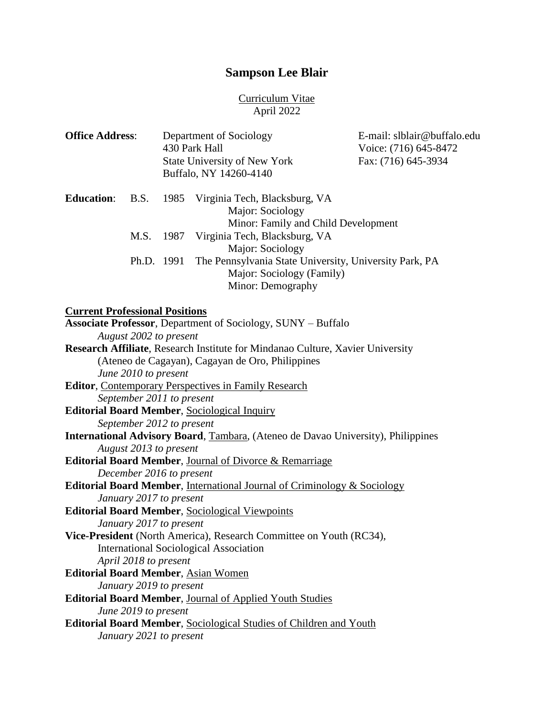### **Sampson Lee Blair**

#### Curriculum Vitae April 2022

| <b>Office Address:</b>                |                                                   | Department of Sociology<br>430 Park Hall<br><b>State University of New York</b><br>Buffalo, NY 14260-4140 |                                                                                                                              | E-mail: slblair@buffalo.edu<br>Voice: (716) 645-8472<br>Fax: (716) 645-3934 |
|---------------------------------------|---------------------------------------------------|-----------------------------------------------------------------------------------------------------------|------------------------------------------------------------------------------------------------------------------------------|-----------------------------------------------------------------------------|
| <b>Education:</b>                     | <b>B.S.</b>                                       | 1985                                                                                                      | Virginia Tech, Blacksburg, VA<br>Major: Sociology<br>Minor: Family and Child Development                                     |                                                                             |
|                                       | M.S.                                              |                                                                                                           | 1987 Virginia Tech, Blacksburg, VA                                                                                           |                                                                             |
|                                       | Ph.D. 1991                                        |                                                                                                           | Major: Sociology<br>The Pennsylvania State University, University Park, PA<br>Major: Sociology (Family)<br>Minor: Demography |                                                                             |
| <b>Current Professional Positions</b> |                                                   |                                                                                                           |                                                                                                                              |                                                                             |
|                                       | August 2002 to present                            |                                                                                                           | Associate Professor, Department of Sociology, SUNY - Buffalo                                                                 |                                                                             |
|                                       |                                                   |                                                                                                           | Research Affiliate, Research Institute for Mindanao Culture, Xavier University                                               |                                                                             |
|                                       |                                                   |                                                                                                           | (Ateneo de Cagayan), Cagayan de Oro, Philippines                                                                             |                                                                             |
|                                       | June 2010 to present<br>September 2011 to present |                                                                                                           | Editor, Contemporary Perspectives in Family Research                                                                         |                                                                             |
|                                       |                                                   |                                                                                                           | <b>Editorial Board Member, Sociological Inquiry</b>                                                                          |                                                                             |
|                                       | September 2012 to present                         |                                                                                                           |                                                                                                                              |                                                                             |
|                                       | August 2013 to present                            |                                                                                                           | <b>International Advisory Board, Tambara, (Ateneo de Davao University), Philippines</b>                                      |                                                                             |
|                                       |                                                   |                                                                                                           | Editorial Board Member, Journal of Divorce & Remarriage                                                                      |                                                                             |
|                                       | December 2016 to present                          |                                                                                                           |                                                                                                                              |                                                                             |
|                                       |                                                   |                                                                                                           | Editorial Board Member, International Journal of Criminology & Sociology                                                     |                                                                             |
|                                       | January 2017 to present                           |                                                                                                           |                                                                                                                              |                                                                             |

**Editorial Board Member**, Sociological Viewpoints *January 2017 to present* **Vice-President** (North America), Research Committee on Youth (RC34),

International Sociological Association

*April 2018 to present*

**Editorial Board Member**, Asian Women

*January 2019 to present*

**Editorial Board Member**, Journal of Applied Youth Studies

*June 2019 to present*

**Editorial Board Member**, Sociological Studies of Children and Youth *January 2021 to present*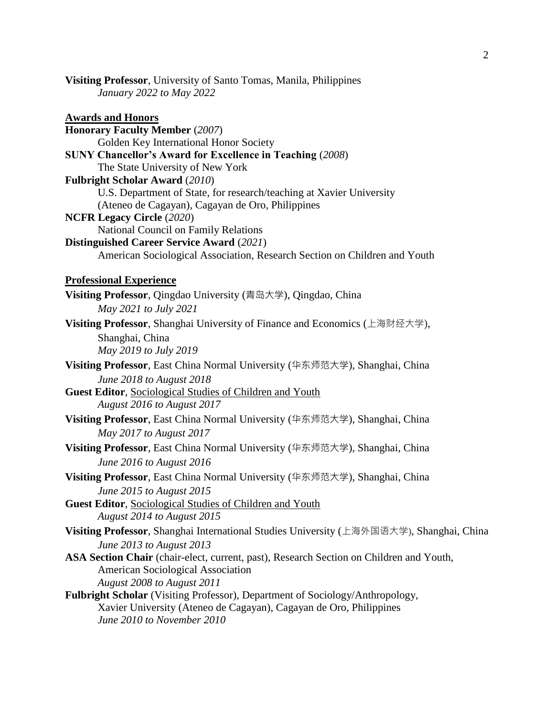**Visiting Professor**, University of Santo Tomas, Manila, Philippines *January 2022 to May 2022*

**Awards and Honors Honorary Faculty Member** (*2007*) Golden Key International Honor Society **SUNY Chancellor's Award for Excellence in Teaching** (*2008*) The State University of New York **Fulbright Scholar Award** (*2010*) U.S. Department of State, for research/teaching at Xavier University (Ateneo de Cagayan), Cagayan de Oro, Philippines **NCFR Legacy Circle** (*2020*) National Council on Family Relations **Distinguished Career Service Award** (*2021*) American Sociological Association, Research Section on Children and Youth **Professional Experience Visiting Professor**, Qingdao University (青岛大学), Qingdao, China *May 2021 to July 2021* **Visiting Professor**, Shanghai University of Finance and Economics (上海财经大学), Shanghai, China *May 2019 to July 2019* **Visiting Professor**, East China Normal University (华东师范大学), Shanghai, China *June 2018 to August 2018* **Guest Editor**, Sociological Studies of Children and Youth *August 2016 to August 2017* **Visiting Professor**, East China Normal University (华东师范大学), Shanghai, China *May 2017 to August 2017* **Visiting Professor**, East China Normal University (华东师范大学), Shanghai, China *June 2016 to August 2016* **Visiting Professor**, East China Normal University (华东师范大学), Shanghai, China *June 2015 to August 2015* **Guest Editor**, Sociological Studies of Children and Youth *August 2014 to August 2015* **Visiting Professor**, Shanghai International Studies University (上海外国语大学), Shanghai, China *June 2013 to August 2013* **ASA Section Chair** (chair-elect, current, past), Research Section on Children and Youth, American Sociological Association *August 2008 to August 2011* **Fulbright Scholar** (Visiting Professor), Department of Sociology/Anthropology, Xavier University (Ateneo de Cagayan), Cagayan de Oro, Philippines *June 2010 to November 2010*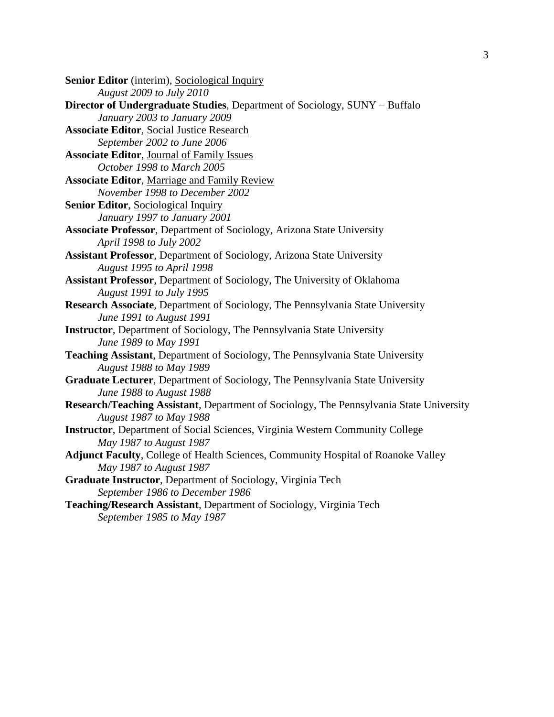| Senior Editor (interim), Sociological Inquiry                                                              |
|------------------------------------------------------------------------------------------------------------|
| <b>August 2009 to July 2010</b>                                                                            |
| <b>Director of Undergraduate Studies, Department of Sociology, SUNY - Buffalo</b>                          |
| January 2003 to January 2009                                                                               |
| <b>Associate Editor, Social Justice Research</b>                                                           |
| September 2002 to June 2006                                                                                |
| <b>Associate Editor, Journal of Family Issues</b>                                                          |
| October 1998 to March 2005                                                                                 |
| <b>Associate Editor, Marriage and Family Review</b>                                                        |
| November 1998 to December 2002                                                                             |
| Senior Editor, Sociological Inquiry                                                                        |
| January 1997 to January 2001                                                                               |
| <b>Associate Professor</b> , Department of Sociology, Arizona State University                             |
| April 1998 to July 2002                                                                                    |
| <b>Assistant Professor</b> , Department of Sociology, Arizona State University                             |
| August 1995 to April 1998                                                                                  |
| Assistant Professor, Department of Sociology, The University of Oklahoma                                   |
| <b>August 1991 to July 1995</b>                                                                            |
| Research Associate, Department of Sociology, The Pennsylvania State University<br>June 1991 to August 1991 |
| Instructor, Department of Sociology, The Pennsylvania State University<br>June 1989 to May 1991            |
| Teaching Assistant, Department of Sociology, The Pennsylvania State University                             |
| <b>August 1988 to May 1989</b>                                                                             |
| Graduate Lecturer, Department of Sociology, The Pennsylvania State University<br>June 1988 to August 1988  |
| Research/Teaching Assistant, Department of Sociology, The Pennsylvania State University                    |
| <b>August 1987 to May 1988</b>                                                                             |
| Instructor, Department of Social Sciences, Virginia Western Community College                              |
| May 1987 to August 1987                                                                                    |
| Adjunct Faculty, College of Health Sciences, Community Hospital of Roanoke Valley                          |
| May 1987 to August 1987                                                                                    |
| Graduate Instructor, Department of Sociology, Virginia Tech                                                |
| September 1986 to December 1986                                                                            |
| Teaching/Research Assistant, Department of Sociology, Virginia Tech<br>September 1985 to May 1987          |
|                                                                                                            |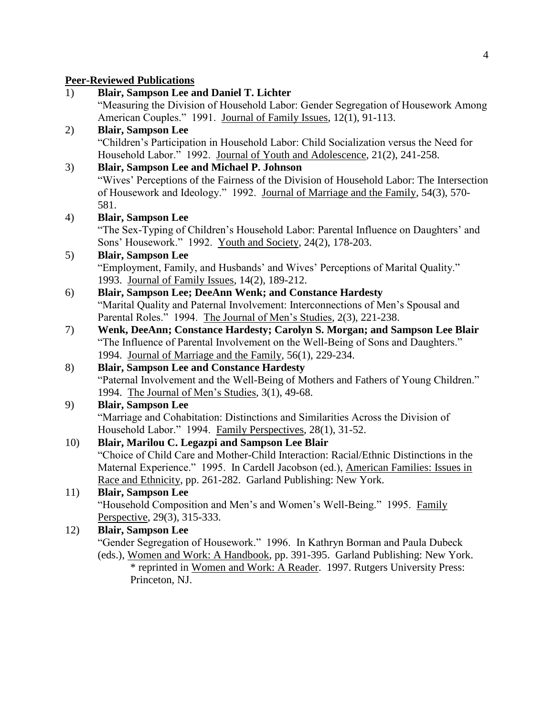#### **Peer-Reviewed Publications**

| 1)  | <b>Blair, Sampson Lee and Daniel T. Lichter</b>                                          |
|-----|------------------------------------------------------------------------------------------|
|     | "Measuring the Division of Household Labor: Gender Segregation of Housework Among        |
|     | American Couples." 1991. Journal of Family Issues, 12(1), 91-113.                        |
| 2)  | <b>Blair, Sampson Lee</b>                                                                |
|     | "Children's Participation in Household Labor: Child Socialization versus the Need for    |
|     | Household Labor." 1992. Journal of Youth and Adolescence, 21(2), 241-258.                |
| 3)  | <b>Blair, Sampson Lee and Michael P. Johnson</b>                                         |
|     | "Wives' Perceptions of the Fairness of the Division of Household Labor: The Intersection |
|     | of Housework and Ideology." 1992. Journal of Marriage and the Family, 54(3), 570-        |
|     | 581.                                                                                     |
| 4)  | <b>Blair, Sampson Lee</b>                                                                |
|     | "The Sex-Typing of Children's Household Labor: Parental Influence on Daughters' and      |
|     | Sons' Housework." 1992. Youth and Society, 24(2), 178-203.                               |
| 5)  | <b>Blair, Sampson Lee</b>                                                                |
|     | "Employment, Family, and Husbands' and Wives' Perceptions of Marital Quality."           |
|     | 1993. Journal of Family Issues, 14(2), 189-212.                                          |
| 6)  | Blair, Sampson Lee; DeeAnn Wenk; and Constance Hardesty                                  |
|     | "Marital Quality and Paternal Involvement: Interconnections of Men's Spousal and         |
|     | Parental Roles." 1994. The Journal of Men's Studies, 2(3), 221-238.                      |
| 7)  | Wenk, DeeAnn; Constance Hardesty; Carolyn S. Morgan; and Sampson Lee Blair               |
|     | "The Influence of Parental Involvement on the Well-Being of Sons and Daughters."         |
|     | 1994. Journal of Marriage and the Family, 56(1), 229-234.                                |
| 8)  | <b>Blair, Sampson Lee and Constance Hardesty</b>                                         |
|     | "Paternal Involvement and the Well-Being of Mothers and Fathers of Young Children."      |
| 9)  | 1994. The Journal of Men's Studies, 3(1), 49-68.<br><b>Blair, Sampson Lee</b>            |
|     | "Marriage and Cohabitation: Distinctions and Similarities Across the Division of         |
|     | Household Labor." 1994. Family Perspectives, 28(1), 31-52.                               |
| 10) | Blair, Marilou C. Legazpi and Sampson Lee Blair                                          |
|     | "Choice of Child Care and Mother-Child Interaction: Racial/Ethnic Distinctions in the    |
|     | Maternal Experience." 1995. In Cardell Jacobson (ed.), American Families: Issues in      |
|     | Race and Ethnicity, pp. 261-282. Garland Publishing: New York.                           |
| 11) | <b>Blair, Sampson Lee</b>                                                                |
|     | "Household Composition and Men's and Women's Well-Being." 1995. Family                   |
|     | Perspective, 29(3), 315-333.                                                             |
| 12) | <b>Blair, Sampson Lee</b>                                                                |
|     | "Gender Segregation of Housework." 1996. In Kathryn Borman and Paula Dubeck              |
|     | (eds.), Women and Work: A Handbook, pp. 391-395. Garland Publishing: New York.           |
|     |                                                                                          |

\* reprinted in Women and Work: A Reader. 1997. Rutgers University Press: Princeton, NJ.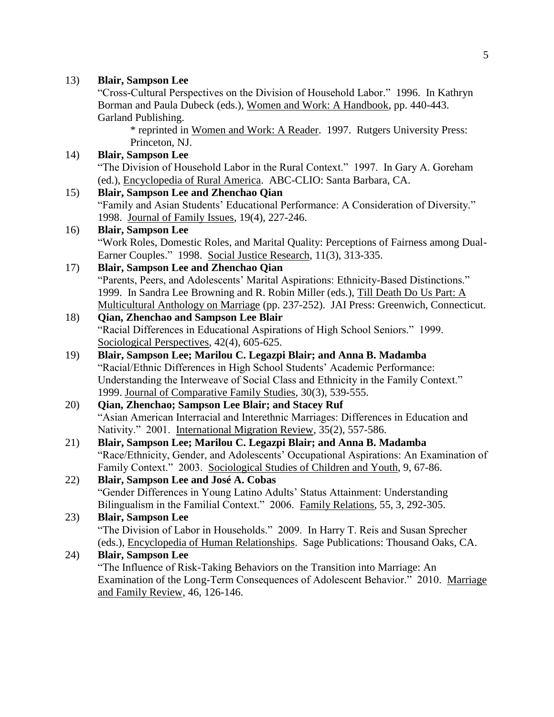#### 13) **Blair, Sampson Lee** "Cross-Cultural Perspectives on the Division of Household Labor." 1996. In Kathryn Borman and Paula Dubeck (eds.), Women and Work: A Handbook, pp. 440-443. Garland Publishing. \* reprinted in Women and Work: A Reader. 1997. Rutgers University Press: Princeton, NJ. 14) **Blair, Sampson Lee** "The Division of Household Labor in the Rural Context." 1997. In Gary A. Goreham (ed.), Encyclopedia of Rural America. ABC-CLIO: Santa Barbara, CA. 15) **Blair, Sampson Lee and Zhenchao Qian** "Family and Asian Students' Educational Performance: A Consideration of Diversity." 1998. Journal of Family Issues, 19(4), 227-246. 16) **Blair, Sampson Lee** "Work Roles, Domestic Roles, and Marital Quality: Perceptions of Fairness among Dual-Earner Couples." 1998. Social Justice Research, 11(3), 313-335. 17) **Blair, Sampson Lee and Zhenchao Qian** "Parents, Peers, and Adolescents' Marital Aspirations: Ethnicity-Based Distinctions." 1999. In Sandra Lee Browning and R. Robin Miller (eds.), Till Death Do Us Part: A Multicultural Anthology on Marriage (pp. 237-252). JAI Press: Greenwich, Connecticut. 18) **Qian, Zhenchao and Sampson Lee Blair** "Racial Differences in Educational Aspirations of High School Seniors." 1999. Sociological Perspectives, 42(4), 605-625. 19) **Blair, Sampson Lee; Marilou C. Legazpi Blair; and Anna B. Madamba** "Racial/Ethnic Differences in High School Students' Academic Performance: Understanding the Interweave of Social Class and Ethnicity in the Family Context." 1999. Journal of Comparative Family Studies, 30(3), 539-555. 20) **Qian, Zhenchao; Sampson Lee Blair; and Stacey Ruf** "Asian American Interracial and Interethnic Marriages: Differences in Education and Nativity." 2001. International Migration Review, 35(2), 557-586. 21) **Blair, Sampson Lee; Marilou C. Legazpi Blair; and Anna B. Madamba** "Race/Ethnicity, Gender, and Adolescents' Occupational Aspirations: An Examination of Family Context." 2003. Sociological Studies of Children and Youth, 9, 67-86. 22) **Blair, Sampson Lee and José A. Cobas** "Gender Differences in Young Latino Adults' Status Attainment: Understanding Bilingualism in the Familial Context." 2006. Family Relations, 55, 3, 292-305. 23) **Blair, Sampson Lee** "The Division of Labor in Households." 2009. In Harry T. Reis and Susan Sprecher (eds.), Encyclopedia of Human Relationships. Sage Publications: Thousand Oaks, CA. 24) **Blair, Sampson Lee** "The Influence of Risk-Taking Behaviors on the Transition into Marriage: An

Examination of the Long-Term Consequences of Adolescent Behavior." 2010. Marriage and Family Review, 46, 126-146.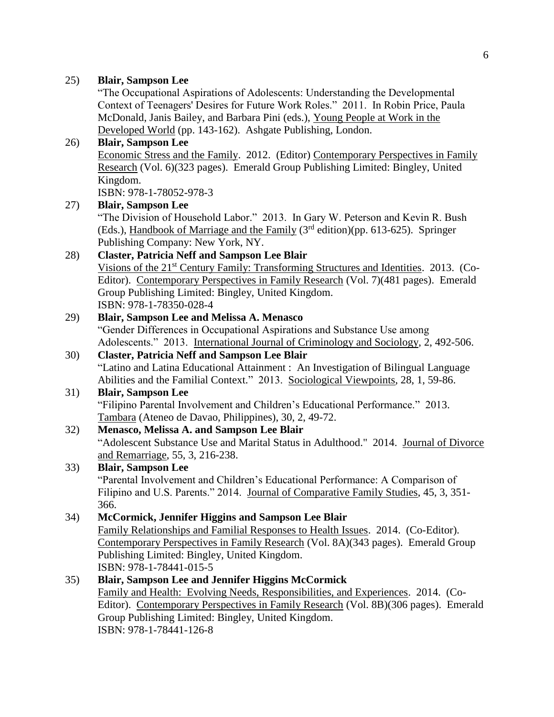"The Occupational Aspirations of Adolescents: Understanding the Developmental Context of Teenagers' Desires for Future Work Roles." 2011. In Robin Price, Paula McDonald, Janis Bailey, and Barbara Pini (eds.), Young People at Work in the Developed World (pp. 143-162). Ashgate Publishing, London.

#### 26) **Blair, Sampson Lee**

Economic Stress and the Family. 2012. (Editor) Contemporary Perspectives in Family Research (Vol. 6)(323 pages). Emerald Group Publishing Limited: Bingley, United Kingdom.

ISBN: 978-1-78052-978-3

#### 27) **Blair, Sampson Lee**

"The Division of Household Labor." 2013. In Gary W. Peterson and Kevin R. Bush (Eds.), Handbook of Marriage and the Family  $(3<sup>rd</sup> edition)(pp. 613-625)$ . Springer Publishing Company: New York, NY.

### 28) **Claster, Patricia Neff and Sampson Lee Blair**

Visions of the 21<sup>st</sup> Century Family: Transforming Structures and Identities. 2013. (Co-Editor). Contemporary Perspectives in Family Research (Vol. 7)(481 pages). Emerald Group Publishing Limited: Bingley, United Kingdom. ISBN: 978-1-78350-028-4

#### 29) **Blair, Sampson Lee and Melissa A. Menasco**

"Gender Differences in Occupational Aspirations and Substance Use among Adolescents." 2013. International Journal of Criminology and Sociology, 2, 492-506.

#### 30) **Claster, Patricia Neff and Sampson Lee Blair**

"Latino and Latina Educational Attainment : An Investigation of Bilingual Language Abilities and the Familial Context." 2013. Sociological Viewpoints, 28, 1, 59-86.

#### 31) **Blair, Sampson Lee**

"Filipino Parental Involvement and Children's Educational Performance." 2013. Tambara (Ateneo de Davao, Philippines), 30, 2, 49-72.

#### 32) **Menasco, Melissa A. and Sampson Lee Blair**

"Adolescent Substance Use and Marital Status in Adulthood." 2014. Journal of Divorce and Remarriage, 55, 3, 216-238.

#### 33) **Blair, Sampson Lee**

"Parental Involvement and Children's Educational Performance: A Comparison of Filipino and U.S. Parents." 2014. Journal of Comparative Family Studies, 45, 3, 351- 366.

#### 34) **McCormick, Jennifer Higgins and Sampson Lee Blair**

Family Relationships and Familial Responses to Health Issues. 2014. (Co-Editor). Contemporary Perspectives in Family Research (Vol. 8A)(343 pages). Emerald Group Publishing Limited: Bingley, United Kingdom. ISBN: 978-1-78441-015-5

### 35) **Blair, Sampson Lee and Jennifer Higgins McCormick**

Family and Health: Evolving Needs, Responsibilities, and Experiences. 2014. (Co-Editor). Contemporary Perspectives in Family Research (Vol. 8B)(306 pages). Emerald Group Publishing Limited: Bingley, United Kingdom. ISBN: 978-1-78441-126-8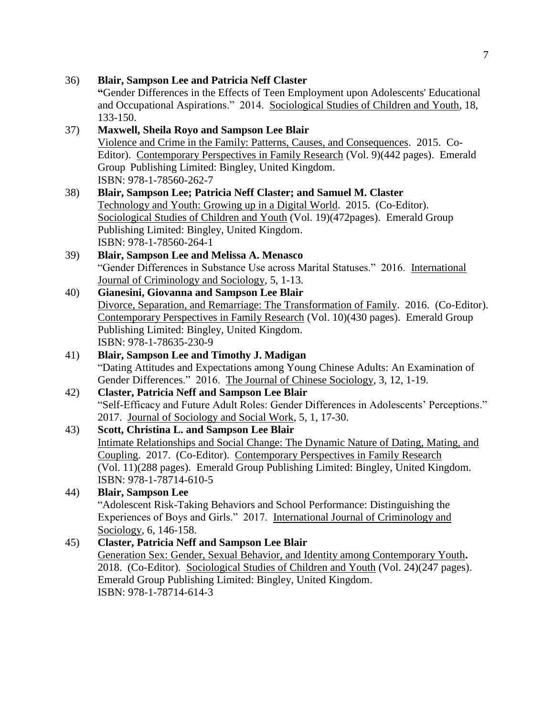```
"Gender Differences in the Effects of Teen Employment upon Adolescents' Educational
      and Occupational Aspirations." 2014. Sociological Studies of Children and Youth, 18, 
       133-150.
37) Maxwell, Sheila Royo and Sampson Lee Blair
       Violence and Crime in the Family: Patterns, Causes, and Consequences. 2015. Co-
      Editor). Contemporary Perspectives in Family Research (Vol. 9)(442 pages). Emerald 
       Group Publishing Limited: Bingley, United Kingdom.
       ISBN: 978-1-78560-262-7
38) Blair, Sampson Lee; Patricia Neff Claster; and Samuel M. Claster
      Technology and Youth: Growing up in a Digital World. 2015. (Co-Editor). 
      Sociological Studies of Children and Youth (Vol. 19)(472pages). Emerald Group 
       Publishing Limited: Bingley, United Kingdom.
      ISBN: 978-1-78560-264-1
39) Blair, Sampson Lee and Melissa A. Menasco
      "Gender Differences in Substance Use across Marital Statuses." 2016. International 
      Journal of Criminology and Sociology, 5, 1-13.
40) Gianesini, Giovanna and Sampson Lee Blair
      Divorce, Separation, and Remarriage: The Transformation of Family. 2016. (Co-Editor). 
      Contemporary Perspectives in Family Research (Vol. 10)(430 pages). Emerald Group 
       Publishing Limited: Bingley, United Kingdom. 
      ISBN: 978-1-78635-230-9
41) Blair, Sampson Lee and Timothy J. Madigan
       "Dating Attitudes and Expectations among Young Chinese Adults: An Examination of 
      Gender Differences." 2016. The Journal of Chinese Sociology, 3, 12, 1-19.
42) Claster, Patricia Neff and Sampson Lee Blair
       "Self-Efficacy and Future Adult Roles: Gender Differences in Adolescents' Perceptions." 
      2017. Journal of Sociology and Social Work, 5, 1, 17-30.
43) Scott, Christina L. and Sampson Lee Blair
       Intimate Relationships and Social Change: The Dynamic Nature of Dating, Mating, and 
      Coupling. 2017. (Co-Editor). Contemporary Perspectives in Family Research
       (Vol. 11)(288 pages). Emerald Group Publishing Limited: Bingley, United Kingdom. 
      ISBN: 978-1-78714-610-5
44) Blair, Sampson Lee
       "Adolescent Risk-Taking Behaviors and School Performance: Distinguishing the 
      Experiences of Boys and Girls." 2017. International Journal of Criminology and
       Sociology, 6, 146-158.
45) Claster, Patricia Neff and Sampson Lee Blair
      Generation Sex: Gender, Sexual Behavior, and Identity among Contemporary Youth. 
       2018. (Co-Editor). Sociological Studies of Children and Youth (Vol. 24)(247 pages). 
       Emerald Group Publishing Limited: Bingley, United Kingdom. 
      ISBN: 978-1-78714-614-3
```
36) **Blair, Sampson Lee and Patricia Neff Claster**

7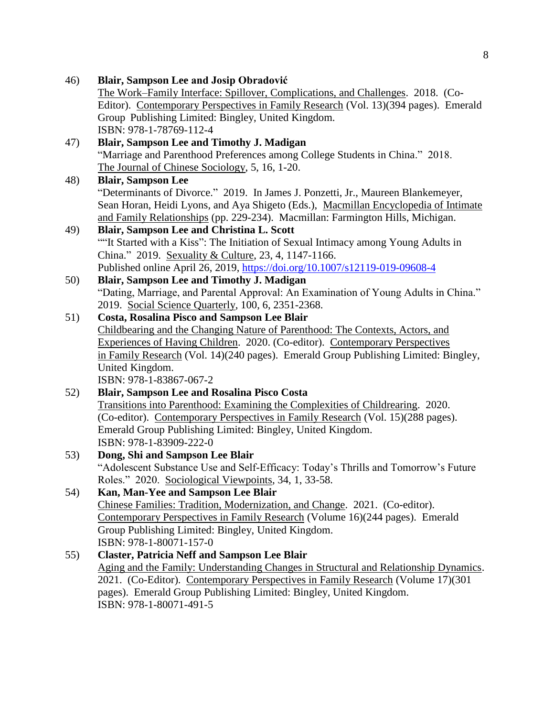46) **Blair, Sampson Lee and Josip Obradović** The Work–Family Interface: Spillover, Complications, and Challenges. 2018. (Co-Editor). Contemporary Perspectives in Family Research (Vol. 13)(394 pages). Emerald Group Publishing Limited: Bingley, United Kingdom. ISBN: 978-1-78769-112-4 47) **Blair, Sampson Lee and Timothy J. Madigan** "Marriage and Parenthood Preferences among College Students in China." 2018. The Journal of Chinese Sociology, 5, 16, 1-20. 48) **Blair, Sampson Lee** "Determinants of Divorce." 2019. In James J. Ponzetti, Jr., Maureen Blankemeyer, Sean Horan, Heidi Lyons, and Aya Shigeto (Eds.), Macmillan Encyclopedia of Intimate and Family Relationships (pp. 229-234). Macmillan: Farmington Hills, Michigan. 49) **Blair, Sampson Lee and Christina L. Scott** ""It Started with a Kiss": The Initiation of Sexual Intimacy among Young Adults in China." 2019. Sexuality & Culture, 23, 4, 1147-1166. Published online April 26, 2019, <https://doi.org/10.1007/s12119-019-09608-4> 50) **Blair, Sampson Lee and Timothy J. Madigan** "Dating, Marriage, and Parental Approval: An Examination of Young Adults in China." 2019. Social Science Quarterly, 100, 6, 2351-2368. 51) **Costa, Rosalina Pisco and Sampson Lee Blair** Childbearing and the Changing Nature of Parenthood: The Contexts, Actors, and Experiences of Having Children. 2020. (Co-editor). Contemporary Perspectives in Family Research (Vol. 14)(240 pages). Emerald Group Publishing Limited: Bingley, United Kingdom. ISBN: 978-1-83867-067-2 52) **Blair, Sampson Lee and Rosalina Pisco Costa** Transitions into Parenthood: Examining the Complexities of Childrearing. 2020. (Co-editor). Contemporary Perspectives in Family Research (Vol. 15)(288 pages). Emerald Group Publishing Limited: Bingley, United Kingdom. ISBN: 978-1-83909-222-0 53) **Dong, Shi and Sampson Lee Blair** "Adolescent Substance Use and Self-Efficacy: Today's Thrills and Tomorrow's Future Roles." 2020. Sociological Viewpoints, 34, 1, 33-58. 54) **Kan, Man-Yee and Sampson Lee Blair** Chinese Families: Tradition, Modernization, and Change. 2021. (Co-editor). Contemporary Perspectives in Family Research (Volume 16)(244 pages). Emerald Group Publishing Limited: Bingley, United Kingdom. ISBN: 978-1-80071-157-0 55) **Claster, Patricia Neff and Sampson Lee Blair** Aging and the Family: Understanding Changes in Structural and Relationship Dynamics. 2021. (Co-Editor). Contemporary Perspectives in Family Research (Volume 17)(301 pages). Emerald Group Publishing Limited: Bingley, United Kingdom. ISBN: 978-1-80071-491-5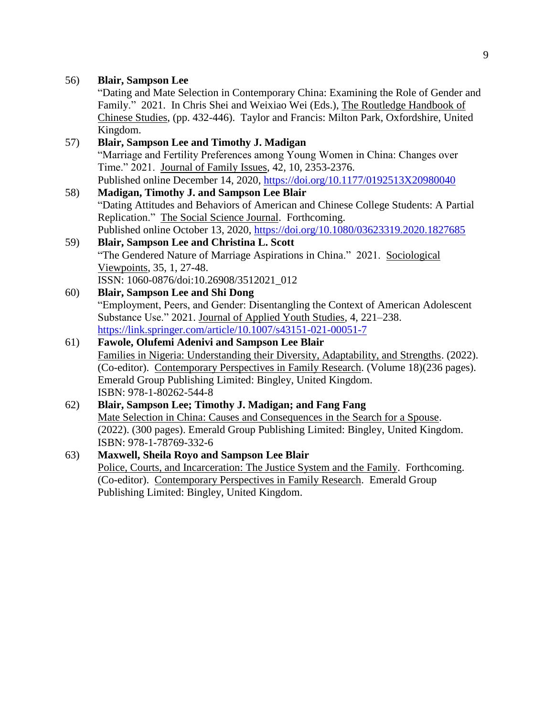"Dating and Mate Selection in Contemporary China: Examining the Role of Gender and Family." 2021. In Chris Shei and Weixiao Wei (Eds.), The Routledge Handbook of Chinese Studies, (pp. 432-446). Taylor and Francis: Milton Park, Oxfordshire, United Kingdom.

| 57) | <b>Blair, Sampson Lee and Timothy J. Madigan</b>                                         |
|-----|------------------------------------------------------------------------------------------|
|     | "Marriage and Fertility Preferences among Young Women in China: Changes over             |
|     | Time." 2021. Journal of Family Issues, 42, 10, 2353-2376.                                |
|     | Published online December 14, 2020, https://doi.org/10.1177/0192513X20980040             |
| 58) | <b>Madigan, Timothy J. and Sampson Lee Blair</b>                                         |
|     | "Dating Attitudes and Behaviors of American and Chinese College Students: A Partial      |
|     | Replication." The Social Science Journal. Forthcoming.                                   |
|     | Published online October 13, 2020, https://doi.org/10.1080/03623319.2020.1827685         |
| 59) | Blair, Sampson Lee and Christina L. Scott                                                |
|     | "The Gendered Nature of Marriage Aspirations in China." 2021. Sociological               |
|     | Viewpoints, 35, 1, 27-48.                                                                |
|     | ISSN: 1060-0876/doi:10.26908/3512021_012                                                 |
| 60) | <b>Blair, Sampson Lee and Shi Dong</b>                                                   |
|     | "Employment, Peers, and Gender: Disentangling the Context of American Adolescent         |
|     | Substance Use." 2021. Journal of Applied Youth Studies, 4, 221-238.                      |
|     | https://link.springer.com/article/10.1007/s43151-021-00051-7                             |
| 61) | <b>Fawole, Olufemi Adenivi and Sampson Lee Blair</b>                                     |
|     | Families in Nigeria: Understanding their Diversity, Adaptability, and Strengths. (2022). |
|     | (Co-editor). Contemporary Perspectives in Family Research. (Volume 18)(236 pages).       |
|     | Emerald Group Publishing Limited: Bingley, United Kingdom.                               |
|     | ISBN: 978-1-80262-544-8                                                                  |
| 62) | Blair, Sampson Lee; Timothy J. Madigan; and Fang Fang                                    |

Mate Selection in China: Causes and Consequences in the Search for a Spouse. (2022). (300 pages). Emerald Group Publishing Limited: Bingley, United Kingdom. ISBN: 978-1-78769-332-6

#### 63) **Maxwell, Sheila Royo and Sampson Lee Blair** Police, Courts, and Incarceration: The Justice System and the Family. Forthcoming. (Co-editor). Contemporary Perspectives in Family Research. Emerald Group Publishing Limited: Bingley, United Kingdom.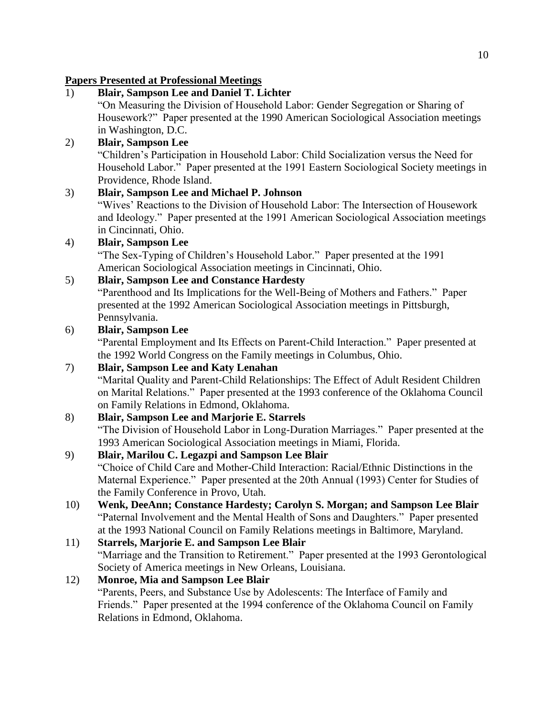#### **Papers Presented at Professional Meetings**

### 1) **Blair, Sampson Lee and Daniel T. Lichter**

"On Measuring the Division of Household Labor: Gender Segregation or Sharing of Housework?" Paper presented at the 1990 American Sociological Association meetings in Washington, D.C.

### 2) **Blair, Sampson Lee**

"Children's Participation in Household Labor: Child Socialization versus the Need for Household Labor." Paper presented at the 1991 Eastern Sociological Society meetings in Providence, Rhode Island.

### 3) **Blair, Sampson Lee and Michael P. Johnson**

"Wives' Reactions to the Division of Household Labor: The Intersection of Housework and Ideology." Paper presented at the 1991 American Sociological Association meetings in Cincinnati, Ohio.

### 4) **Blair, Sampson Lee**

"The Sex-Typing of Children's Household Labor." Paper presented at the 1991 American Sociological Association meetings in Cincinnati, Ohio.

### 5) **Blair, Sampson Lee and Constance Hardesty**

"Parenthood and Its Implications for the Well-Being of Mothers and Fathers." Paper presented at the 1992 American Sociological Association meetings in Pittsburgh, Pennsylvania.

### 6) **Blair, Sampson Lee**

"Parental Employment and Its Effects on Parent-Child Interaction." Paper presented at the 1992 World Congress on the Family meetings in Columbus, Ohio.

### 7) **Blair, Sampson Lee and Katy Lenahan**

"Marital Quality and Parent-Child Relationships: The Effect of Adult Resident Children on Marital Relations." Paper presented at the 1993 conference of the Oklahoma Council on Family Relations in Edmond, Oklahoma.

### 8) **Blair, Sampson Lee and Marjorie E. Starrels**

"The Division of Household Labor in Long-Duration Marriages." Paper presented at the 1993 American Sociological Association meetings in Miami, Florida.

### 9) **Blair, Marilou C. Legazpi and Sampson Lee Blair**

"Choice of Child Care and Mother-Child Interaction: Racial/Ethnic Distinctions in the Maternal Experience." Paper presented at the 20th Annual (1993) Center for Studies of the Family Conference in Provo, Utah.

10) **Wenk, DeeAnn; Constance Hardesty; Carolyn S. Morgan; and Sampson Lee Blair** "Paternal Involvement and the Mental Health of Sons and Daughters." Paper presented at the 1993 National Council on Family Relations meetings in Baltimore, Maryland.

#### 11) **Starrels, Marjorie E. and Sampson Lee Blair** "Marriage and the Transition to Retirement." Paper presented at the 1993 Gerontological Society of America meetings in New Orleans, Louisiana.

# 12) **Monroe, Mia and Sampson Lee Blair**

"Parents, Peers, and Substance Use by Adolescents: The Interface of Family and Friends." Paper presented at the 1994 conference of the Oklahoma Council on Family Relations in Edmond, Oklahoma.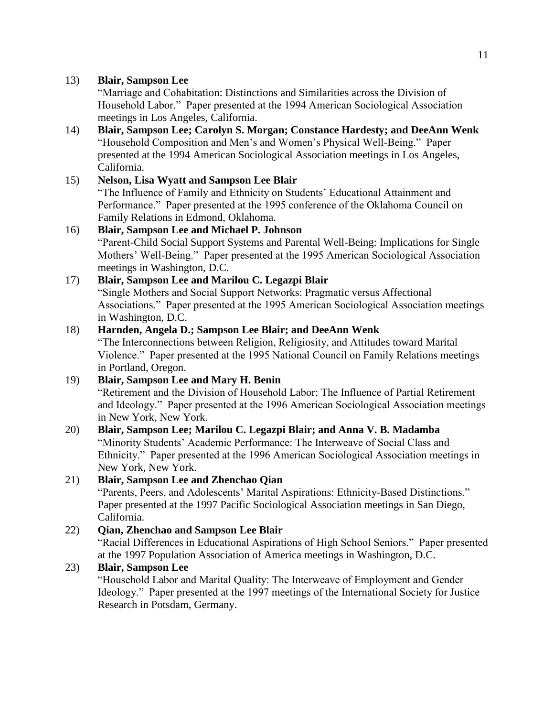"Marriage and Cohabitation: Distinctions and Similarities across the Division of Household Labor." Paper presented at the 1994 American Sociological Association meetings in Los Angeles, California.

14) **Blair, Sampson Lee; Carolyn S. Morgan; Constance Hardesty; and DeeAnn Wenk** "Household Composition and Men's and Women's Physical Well-Being." Paper presented at the 1994 American Sociological Association meetings in Los Angeles, California.

15) **Nelson, Lisa Wyatt and Sampson Lee Blair** "The Influence of Family and Ethnicity on Students' Educational Attainment and Performance." Paper presented at the 1995 conference of the Oklahoma Council on Family Relations in Edmond, Oklahoma.

#### 16) **Blair, Sampson Lee and Michael P. Johnson** "Parent-Child Social Support Systems and Parental Well-Being: Implications for Single

Mothers' Well-Being." Paper presented at the 1995 American Sociological Association meetings in Washington, D.C.

### 17) **Blair, Sampson Lee and Marilou C. Legazpi Blair**

"Single Mothers and Social Support Networks: Pragmatic versus Affectional Associations." Paper presented at the 1995 American Sociological Association meetings in Washington, D.C.

#### 18) **Harnden, Angela D.; Sampson Lee Blair; and DeeAnn Wenk**

"The Interconnections between Religion, Religiosity, and Attitudes toward Marital Violence." Paper presented at the 1995 National Council on Family Relations meetings in Portland, Oregon.

#### 19) **Blair, Sampson Lee and Mary H. Benin** "Retirement and the Division of Household Labor: The Influence of Partial Retirement and Ideology." Paper presented at the 1996 American Sociological Association meetings in New York, New York. 20) **Blair, Sampson Lee; Marilou C. Legazpi Blair; and Anna V. B. Madamba**

"Minority Students' Academic Performance: The Interweave of Social Class and Ethnicity." Paper presented at the 1996 American Sociological Association meetings in New York, New York.

### 21) **Blair, Sampson Lee and Zhenchao Qian**

"Parents, Peers, and Adolescents' Marital Aspirations: Ethnicity-Based Distinctions." Paper presented at the 1997 Pacific Sociological Association meetings in San Diego, California.

### 22) **Qian, Zhenchao and Sampson Lee Blair**

"Racial Differences in Educational Aspirations of High School Seniors." Paper presented at the 1997 Population Association of America meetings in Washington, D.C.

### 23) **Blair, Sampson Lee**

"Household Labor and Marital Quality: The Interweave of Employment and Gender Ideology." Paper presented at the 1997 meetings of the International Society for Justice Research in Potsdam, Germany.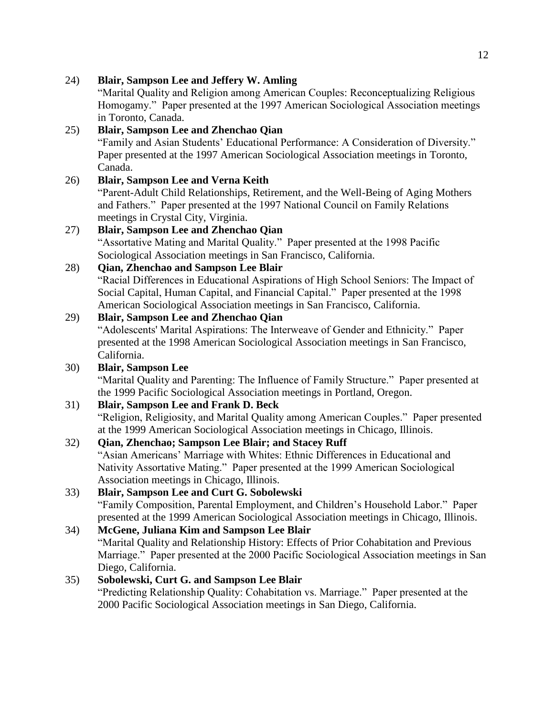24) **Blair, Sampson Lee and Jeffery W. Amling**

"Marital Quality and Religion among American Couples: Reconceptualizing Religious Homogamy." Paper presented at the 1997 American Sociological Association meetings in Toronto, Canada.

### 25) **Blair, Sampson Lee and Zhenchao Qian**

"Family and Asian Students' Educational Performance: A Consideration of Diversity." Paper presented at the 1997 American Sociological Association meetings in Toronto, Canada.

### 26) **Blair, Sampson Lee and Verna Keith**

"Parent-Adult Child Relationships, Retirement, and the Well-Being of Aging Mothers and Fathers." Paper presented at the 1997 National Council on Family Relations meetings in Crystal City, Virginia.

### 27) **Blair, Sampson Lee and Zhenchao Qian**

"Assortative Mating and Marital Quality." Paper presented at the 1998 Pacific Sociological Association meetings in San Francisco, California.

### 28) **Qian, Zhenchao and Sampson Lee Blair**

"Racial Differences in Educational Aspirations of High School Seniors: The Impact of Social Capital, Human Capital, and Financial Capital." Paper presented at the 1998 American Sociological Association meetings in San Francisco, California.

### 29) **Blair, Sampson Lee and Zhenchao Qian**

"Adolescents' Marital Aspirations: The Interweave of Gender and Ethnicity." Paper presented at the 1998 American Sociological Association meetings in San Francisco, California.

### 30) **Blair, Sampson Lee**

"Marital Quality and Parenting: The Influence of Family Structure." Paper presented at the 1999 Pacific Sociological Association meetings in Portland, Oregon.

#### 31) **Blair, Sampson Lee and Frank D. Beck**

"Religion, Religiosity, and Marital Quality among American Couples." Paper presented at the 1999 American Sociological Association meetings in Chicago, Illinois.

### 32) **Qian, Zhenchao; Sampson Lee Blair; and Stacey Ruff**

"Asian Americans' Marriage with Whites: Ethnic Differences in Educational and Nativity Assortative Mating." Paper presented at the 1999 American Sociological Association meetings in Chicago, Illinois.

# 33) **Blair, Sampson Lee and Curt G. Sobolewski**

"Family Composition, Parental Employment, and Children's Household Labor." Paper presented at the 1999 American Sociological Association meetings in Chicago, Illinois.

### 34) **McGene, Juliana Kim and Sampson Lee Blair**

"Marital Quality and Relationship History: Effects of Prior Cohabitation and Previous Marriage." Paper presented at the 2000 Pacific Sociological Association meetings in San Diego, California.

### 35) **Sobolewski, Curt G. and Sampson Lee Blair**

"Predicting Relationship Quality: Cohabitation vs. Marriage." Paper presented at the 2000 Pacific Sociological Association meetings in San Diego, California.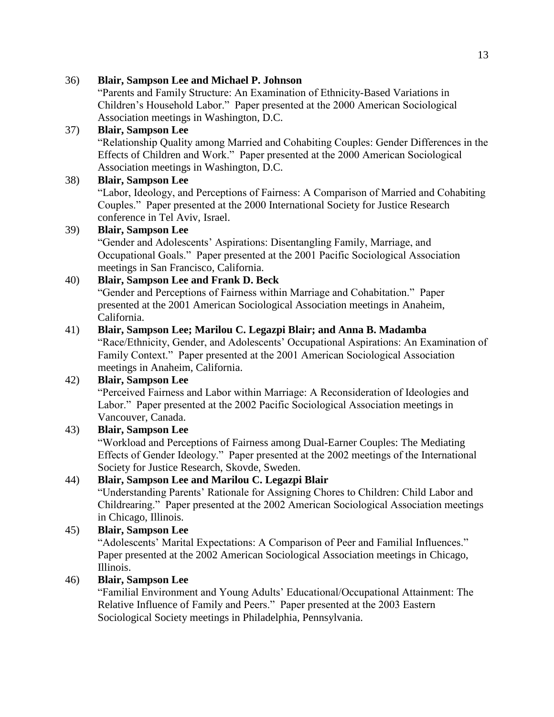#### 36) **Blair, Sampson Lee and Michael P. Johnson**

"Parents and Family Structure: An Examination of Ethnicity-Based Variations in Children's Household Labor." Paper presented at the 2000 American Sociological Association meetings in Washington, D.C.

#### 37) **Blair, Sampson Lee**

"Relationship Quality among Married and Cohabiting Couples: Gender Differences in the Effects of Children and Work." Paper presented at the 2000 American Sociological Association meetings in Washington, D.C.

#### 38) **Blair, Sampson Lee**

"Labor, Ideology, and Perceptions of Fairness: A Comparison of Married and Cohabiting Couples." Paper presented at the 2000 International Society for Justice Research conference in Tel Aviv, Israel.

#### 39) **Blair, Sampson Lee**

"Gender and Adolescents' Aspirations: Disentangling Family, Marriage, and Occupational Goals." Paper presented at the 2001 Pacific Sociological Association meetings in San Francisco, California.

### 40) **Blair, Sampson Lee and Frank D. Beck**

"Gender and Perceptions of Fairness within Marriage and Cohabitation." Paper presented at the 2001 American Sociological Association meetings in Anaheim, California.

#### 41) **Blair, Sampson Lee; Marilou C. Legazpi Blair; and Anna B. Madamba**

"Race/Ethnicity, Gender, and Adolescents' Occupational Aspirations: An Examination of Family Context." Paper presented at the 2001 American Sociological Association meetings in Anaheim, California.

#### 42) **Blair, Sampson Lee**

"Perceived Fairness and Labor within Marriage: A Reconsideration of Ideologies and Labor." Paper presented at the 2002 Pacific Sociological Association meetings in Vancouver, Canada.

#### 43) **Blair, Sampson Lee**

"Workload and Perceptions of Fairness among Dual-Earner Couples: The Mediating Effects of Gender Ideology." Paper presented at the 2002 meetings of the International Society for Justice Research, Skovde, Sweden.

#### 44) **Blair, Sampson Lee and Marilou C. Legazpi Blair**

"Understanding Parents' Rationale for Assigning Chores to Children: Child Labor and Childrearing." Paper presented at the 2002 American Sociological Association meetings in Chicago, Illinois.

#### 45) **Blair, Sampson Lee**

"Adolescents' Marital Expectations: A Comparison of Peer and Familial Influences." Paper presented at the 2002 American Sociological Association meetings in Chicago, Illinois.

#### 46) **Blair, Sampson Lee**

"Familial Environment and Young Adults' Educational/Occupational Attainment: The Relative Influence of Family and Peers." Paper presented at the 2003 Eastern Sociological Society meetings in Philadelphia, Pennsylvania.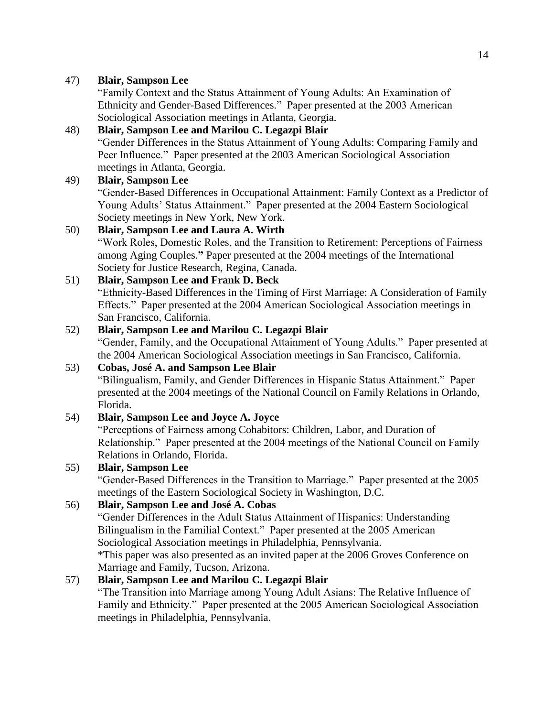"Family Context and the Status Attainment of Young Adults: An Examination of Ethnicity and Gender-Based Differences." Paper presented at the 2003 American Sociological Association meetings in Atlanta, Georgia.

### 48) **Blair, Sampson Lee and Marilou C. Legazpi Blair**

"Gender Differences in the Status Attainment of Young Adults: Comparing Family and Peer Influence." Paper presented at the 2003 American Sociological Association meetings in Atlanta, Georgia.

### 49) **Blair, Sampson Lee**

"Gender-Based Differences in Occupational Attainment: Family Context as a Predictor of Young Adults' Status Attainment." Paper presented at the 2004 Eastern Sociological Society meetings in New York, New York.

### 50) **Blair, Sampson Lee and Laura A. Wirth**

"Work Roles, Domestic Roles, and the Transition to Retirement: Perceptions of Fairness among Aging Couples.**"** Paper presented at the 2004 meetings of the International Society for Justice Research, Regina, Canada.

### 51) **Blair, Sampson Lee and Frank D. Beck**

"Ethnicity-Based Differences in the Timing of First Marriage: A Consideration of Family Effects." Paper presented at the 2004 American Sociological Association meetings in San Francisco, California.

### 52) **Blair, Sampson Lee and Marilou C. Legazpi Blair**

"Gender, Family, and the Occupational Attainment of Young Adults." Paper presented at the 2004 American Sociological Association meetings in San Francisco, California.

### 53) **Cobas, José A. and Sampson Lee Blair**

"Bilingualism, Family, and Gender Differences in Hispanic Status Attainment." Paper presented at the 2004 meetings of the National Council on Family Relations in Orlando, Florida.

### 54) **Blair, Sampson Lee and Joyce A. Joyce**

"Perceptions of Fairness among Cohabitors: Children, Labor, and Duration of Relationship." Paper presented at the 2004 meetings of the National Council on Family Relations in Orlando, Florida.

### 55) **Blair, Sampson Lee**

"Gender-Based Differences in the Transition to Marriage." Paper presented at the 2005 meetings of the Eastern Sociological Society in Washington, D.C.

### 56) **Blair, Sampson Lee and José A. Cobas**

"Gender Differences in the Adult Status Attainment of Hispanics: Understanding Bilingualism in the Familial Context." Paper presented at the 2005 American Sociological Association meetings in Philadelphia, Pennsylvania. \*This paper was also presented as an invited paper at the 2006 Groves Conference on Marriage and Family, Tucson, Arizona.

### 57) **Blair, Sampson Lee and Marilou C. Legazpi Blair**

"The Transition into Marriage among Young Adult Asians: The Relative Influence of Family and Ethnicity." Paper presented at the 2005 American Sociological Association meetings in Philadelphia, Pennsylvania.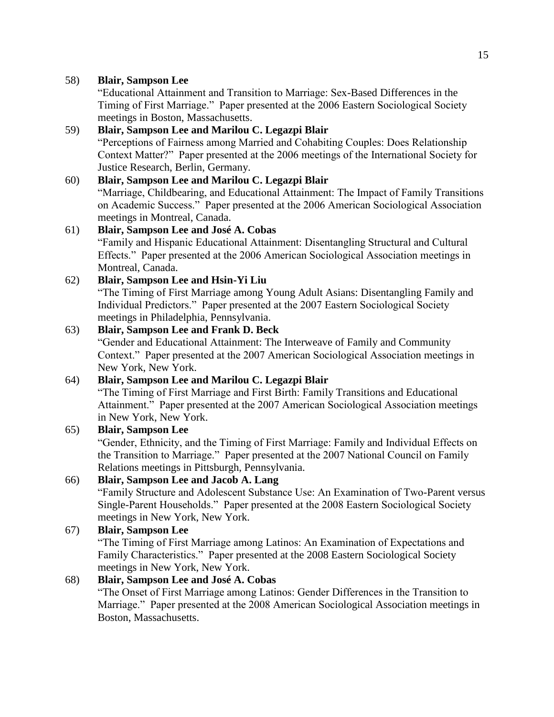"Educational Attainment and Transition to Marriage: Sex-Based Differences in the Timing of First Marriage." Paper presented at the 2006 Eastern Sociological Society meetings in Boston, Massachusetts.

#### 59) **Blair, Sampson Lee and Marilou C. Legazpi Blair** "Perceptions of Fairness among Married and Cohabiting Couples: Does Relationship Context Matter?" Paper presented at the 2006 meetings of the International Society for Justice Research, Berlin, Germany.

### 60) **Blair, Sampson Lee and Marilou C. Legazpi Blair**

"Marriage, Childbearing, and Educational Attainment: The Impact of Family Transitions on Academic Success." Paper presented at the 2006 American Sociological Association meetings in Montreal, Canada.

#### 61) **Blair, Sampson Lee and José A. Cobas**

"Family and Hispanic Educational Attainment: Disentangling Structural and Cultural Effects." Paper presented at the 2006 American Sociological Association meetings in Montreal, Canada.

#### 62) **Blair, Sampson Lee and Hsin-Yi Liu**

"The Timing of First Marriage among Young Adult Asians: Disentangling Family and Individual Predictors." Paper presented at the 2007 Eastern Sociological Society meetings in Philadelphia, Pennsylvania.

#### 63) **Blair, Sampson Lee and Frank D. Beck**

"Gender and Educational Attainment: The Interweave of Family and Community Context." Paper presented at the 2007 American Sociological Association meetings in New York, New York.

#### 64) **Blair, Sampson Lee and Marilou C. Legazpi Blair**

"The Timing of First Marriage and First Birth: Family Transitions and Educational Attainment." Paper presented at the 2007 American Sociological Association meetings in New York, New York.

#### 65) **Blair, Sampson Lee**

"Gender, Ethnicity, and the Timing of First Marriage: Family and Individual Effects on the Transition to Marriage." Paper presented at the 2007 National Council on Family Relations meetings in Pittsburgh, Pennsylvania.

### 66) **Blair, Sampson Lee and Jacob A. Lang**

"Family Structure and Adolescent Substance Use: An Examination of Two-Parent versus Single-Parent Households." Paper presented at the 2008 Eastern Sociological Society meetings in New York, New York.

#### 67) **Blair, Sampson Lee**

"The Timing of First Marriage among Latinos: An Examination of Expectations and Family Characteristics." Paper presented at the 2008 Eastern Sociological Society meetings in New York, New York.

#### 68) **Blair, Sampson Lee and José A. Cobas**

"The Onset of First Marriage among Latinos: Gender Differences in the Transition to Marriage." Paper presented at the 2008 American Sociological Association meetings in Boston, Massachusetts.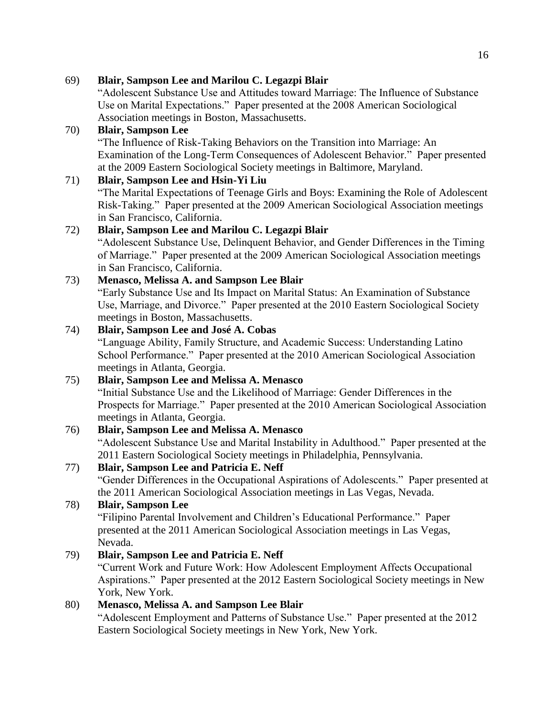69) **Blair, Sampson Lee and Marilou C. Legazpi Blair**

"Adolescent Substance Use and Attitudes toward Marriage: The Influence of Substance Use on Marital Expectations." Paper presented at the 2008 American Sociological Association meetings in Boston, Massachusetts.

### 70) **Blair, Sampson Lee**

"The Influence of Risk-Taking Behaviors on the Transition into Marriage: An Examination of the Long-Term Consequences of Adolescent Behavior." Paper presented at the 2009 Eastern Sociological Society meetings in Baltimore, Maryland.

### 71) **Blair, Sampson Lee and Hsin-Yi Liu**

"The Marital Expectations of Teenage Girls and Boys: Examining the Role of Adolescent Risk-Taking." Paper presented at the 2009 American Sociological Association meetings in San Francisco, California.

### 72) **Blair, Sampson Lee and Marilou C. Legazpi Blair**

"Adolescent Substance Use, Delinquent Behavior, and Gender Differences in the Timing of Marriage." Paper presented at the 2009 American Sociological Association meetings in San Francisco, California.

### 73) **Menasco, Melissa A. and Sampson Lee Blair**

"Early Substance Use and Its Impact on Marital Status: An Examination of Substance Use, Marriage, and Divorce." Paper presented at the 2010 Eastern Sociological Society meetings in Boston, Massachusetts.

### 74) **Blair, Sampson Lee and José A. Cobas**

"Language Ability, Family Structure, and Academic Success: Understanding Latino School Performance." Paper presented at the 2010 American Sociological Association meetings in Atlanta, Georgia.

# 75) **Blair, Sampson Lee and Melissa A. Menasco**

"Initial Substance Use and the Likelihood of Marriage: Gender Differences in the Prospects for Marriage." Paper presented at the 2010 American Sociological Association meetings in Atlanta, Georgia.

### 76) **Blair, Sampson Lee and Melissa A. Menasco**

"Adolescent Substance Use and Marital Instability in Adulthood." Paper presented at the 2011 Eastern Sociological Society meetings in Philadelphia, Pennsylvania.

### 77) **Blair, Sampson Lee and Patricia E. Neff**

"Gender Differences in the Occupational Aspirations of Adolescents." Paper presented at the 2011 American Sociological Association meetings in Las Vegas, Nevada.

#### 78) **Blair, Sampson Lee**

"Filipino Parental Involvement and Children's Educational Performance." Paper presented at the 2011 American Sociological Association meetings in Las Vegas, Nevada.

### 79) **Blair, Sampson Lee and Patricia E. Neff**

"Current Work and Future Work: How Adolescent Employment Affects Occupational Aspirations." Paper presented at the 2012 Eastern Sociological Society meetings in New York, New York.

### 80) **Menasco, Melissa A. and Sampson Lee Blair**

"Adolescent Employment and Patterns of Substance Use." Paper presented at the 2012 Eastern Sociological Society meetings in New York, New York.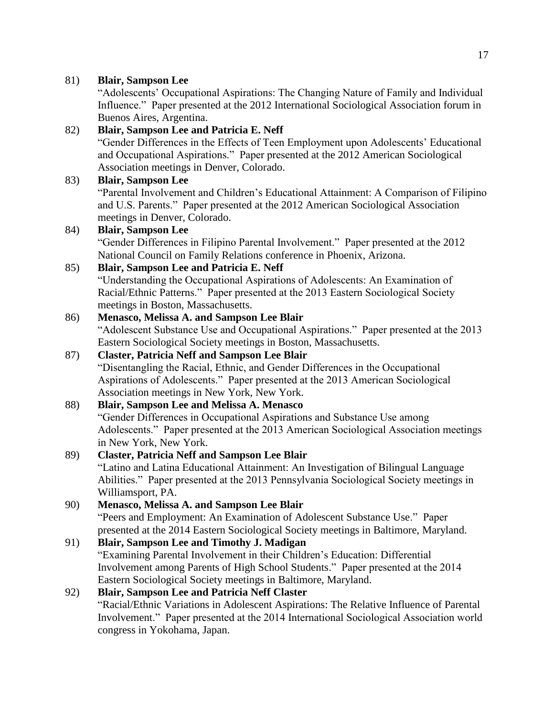"Adolescents' Occupational Aspirations: The Changing Nature of Family and Individual Influence." Paper presented at the 2012 International Sociological Association forum in Buenos Aires, Argentina.

### 82) **Blair, Sampson Lee and Patricia E. Neff**

"Gender Differences in the Effects of Teen Employment upon Adolescents' Educational and Occupational Aspirations." Paper presented at the 2012 American Sociological Association meetings in Denver, Colorado.

### 83) **Blair, Sampson Lee**

"Parental Involvement and Children's Educational Attainment: A Comparison of Filipino and U.S. Parents." Paper presented at the 2012 American Sociological Association meetings in Denver, Colorado.

### 84) **Blair, Sampson Lee**

"Gender Differences in Filipino Parental Involvement." Paper presented at the 2012 National Council on Family Relations conference in Phoenix, Arizona.

### 85) **Blair, Sampson Lee and Patricia E. Neff**

"Understanding the Occupational Aspirations of Adolescents: An Examination of Racial/Ethnic Patterns." Paper presented at the 2013 Eastern Sociological Society meetings in Boston, Massachusetts.

### 86) **Menasco, Melissa A. and Sampson Lee Blair**

"Adolescent Substance Use and Occupational Aspirations." Paper presented at the 2013 Eastern Sociological Society meetings in Boston, Massachusetts.

### 87) **Claster, Patricia Neff and Sampson Lee Blair**

"Disentangling the Racial, Ethnic, and Gender Differences in the Occupational Aspirations of Adolescents." Paper presented at the 2013 American Sociological Association meetings in New York, New York.

### 88) **Blair, Sampson Lee and Melissa A. Menasco**

"Gender Differences in Occupational Aspirations and Substance Use among Adolescents." Paper presented at the 2013 American Sociological Association meetings in New York, New York.

#### 89) **Claster, Patricia Neff and Sampson Lee Blair**

"Latino and Latina Educational Attainment: An Investigation of Bilingual Language Abilities." Paper presented at the 2013 Pennsylvania Sociological Society meetings in Williamsport, PA.

#### 90) **Menasco, Melissa A. and Sampson Lee Blair**

"Peers and Employment: An Examination of Adolescent Substance Use." Paper presented at the 2014 Eastern Sociological Society meetings in Baltimore, Maryland.

### 91) **Blair, Sampson Lee and Timothy J. Madigan**

"Examining Parental Involvement in their Children's Education: Differential Involvement among Parents of High School Students." Paper presented at the 2014 Eastern Sociological Society meetings in Baltimore, Maryland.

### 92) **Blair, Sampson Lee and Patricia Neff Claster**

"Racial/Ethnic Variations in Adolescent Aspirations: The Relative Influence of Parental Involvement." Paper presented at the 2014 International Sociological Association world congress in Yokohama, Japan.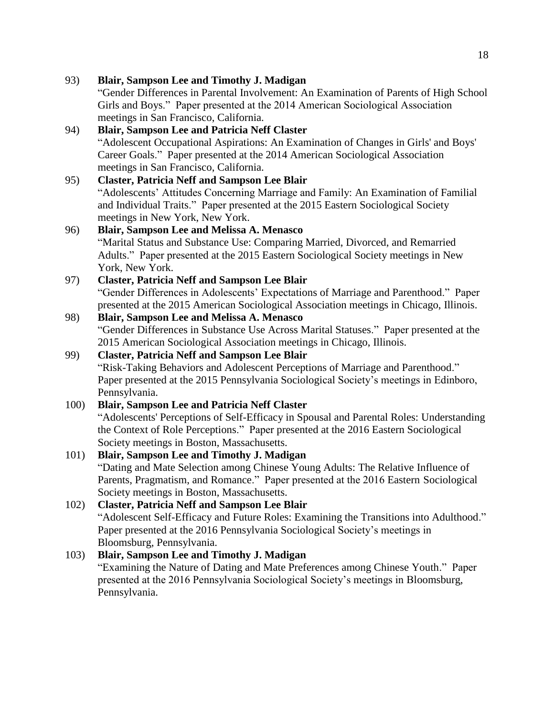93) **Blair, Sampson Lee and Timothy J. Madigan** "Gender Differences in Parental Involvement: An Examination of Parents of High School Girls and Boys." Paper presented at the 2014 American Sociological Association meetings in San Francisco, California. 94) **Blair, Sampson Lee and Patricia Neff Claster** "Adolescent Occupational Aspirations: An Examination of Changes in Girls' and Boys' Career Goals." Paper presented at the 2014 American Sociological Association meetings in San Francisco, California. 95) **Claster, Patricia Neff and Sampson Lee Blair** "Adolescents' Attitudes Concerning Marriage and Family: An Examination of Familial and Individual Traits." Paper presented at the 2015 Eastern Sociological Society meetings in New York, New York. 96) **Blair, Sampson Lee and Melissa A. Menasco** "Marital Status and Substance Use: Comparing Married, Divorced, and Remarried Adults." Paper presented at the 2015 Eastern Sociological Society meetings in New York, New York. 97) **Claster, Patricia Neff and Sampson Lee Blair** "Gender Differences in Adolescents' Expectations of Marriage and Parenthood." Paper presented at the 2015 American Sociological Association meetings in Chicago, Illinois. 98) **Blair, Sampson Lee and Melissa A. Menasco** "Gender Differences in Substance Use Across Marital Statuses." Paper presented at the

2015 American Sociological Association meetings in Chicago, Illinois.

# 99) **Claster, Patricia Neff and Sampson Lee Blair**

"Risk-Taking Behaviors and Adolescent Perceptions of Marriage and Parenthood." Paper presented at the 2015 Pennsylvania Sociological Society's meetings in Edinboro, Pennsylvania.

#### 100) **Blair, Sampson Lee and Patricia Neff Claster**

"Adolescents' Perceptions of Self-Efficacy in Spousal and Parental Roles: Understanding the Context of Role Perceptions." Paper presented at the 2016 Eastern Sociological Society meetings in Boston, Massachusetts.

#### 101) **Blair, Sampson Lee and Timothy J. Madigan**

"Dating and Mate Selection among Chinese Young Adults: The Relative Influence of Parents, Pragmatism, and Romance." Paper presented at the 2016 Eastern Sociological Society meetings in Boston, Massachusetts.

# 102) **Claster, Patricia Neff and Sampson Lee Blair**

"Adolescent Self-Efficacy and Future Roles: Examining the Transitions into Adulthood." Paper presented at the 2016 Pennsylvania Sociological Society's meetings in Bloomsburg, Pennsylvania.

#### 103) **Blair, Sampson Lee and Timothy J. Madigan**

"Examining the Nature of Dating and Mate Preferences among Chinese Youth." Paper presented at the 2016 Pennsylvania Sociological Society's meetings in Bloomsburg, Pennsylvania.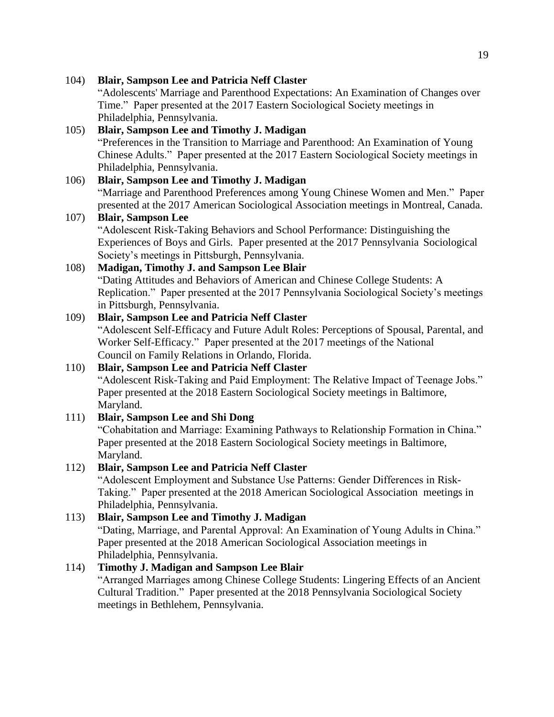104) **Blair, Sampson Lee and Patricia Neff Claster** "Adolescents' Marriage and Parenthood Expectations: An Examination of Changes over Time." Paper presented at the 2017 Eastern Sociological Society meetings in Philadelphia, Pennsylvania. 105) **Blair, Sampson Lee and Timothy J. Madigan** "Preferences in the Transition to Marriage and Parenthood: An Examination of Young Chinese Adults." Paper presented at the 2017 Eastern Sociological Society meetings in Philadelphia, Pennsylvania.

### 106) **Blair, Sampson Lee and Timothy J. Madigan** "Marriage and Parenthood Preferences among Young Chinese Women and Men." Paper presented at the 2017 American Sociological Association meetings in Montreal, Canada.

### 107) **Blair, Sampson Lee**

"Adolescent Risk-Taking Behaviors and School Performance: Distinguishing the Experiences of Boys and Girls. Paper presented at the 2017 Pennsylvania Sociological Society's meetings in Pittsburgh, Pennsylvania.

#### 108) **Madigan, Timothy J. and Sampson Lee Blair** "Dating Attitudes and Behaviors of American and Chinese College Students: A Replication." Paper presented at the 2017 Pennsylvania Sociological Society's meetings in Pittsburgh, Pennsylvania.

### 109) **Blair, Sampson Lee and Patricia Neff Claster**

"Adolescent Self-Efficacy and Future Adult Roles: Perceptions of Spousal, Parental, and Worker Self-Efficacy." Paper presented at the 2017 meetings of the National Council on Family Relations in Orlando, Florida.

### 110) **Blair, Sampson Lee and Patricia Neff Claster**

"Adolescent Risk-Taking and Paid Employment: The Relative Impact of Teenage Jobs." Paper presented at the 2018 Eastern Sociological Society meetings in Baltimore, Maryland.

### 111) **Blair, Sampson Lee and Shi Dong**

"Cohabitation and Marriage: Examining Pathways to Relationship Formation in China." Paper presented at the 2018 Eastern Sociological Society meetings in Baltimore, Maryland.

### 112) **Blair, Sampson Lee and Patricia Neff Claster**

"Adolescent Employment and Substance Use Patterns: Gender Differences in Risk-Taking." Paper presented at the 2018 American Sociological Association meetings in Philadelphia, Pennsylvania.

#### 113) **Blair, Sampson Lee and Timothy J. Madigan**

"Dating, Marriage, and Parental Approval: An Examination of Young Adults in China." Paper presented at the 2018 American Sociological Association meetings in Philadelphia, Pennsylvania.

### 114) **Timothy J. Madigan and Sampson Lee Blair**

"Arranged Marriages among Chinese College Students: Lingering Effects of an Ancient Cultural Tradition." Paper presented at the 2018 Pennsylvania Sociological Society meetings in Bethlehem, Pennsylvania.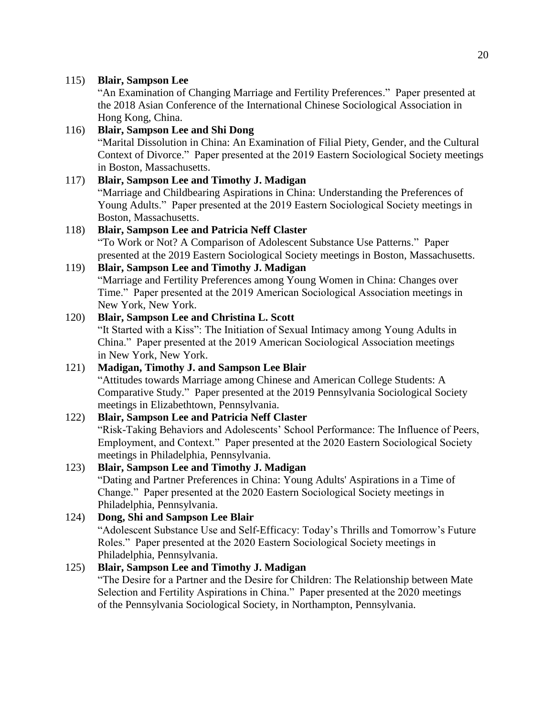"An Examination of Changing Marriage and Fertility Preferences." Paper presented at the 2018 Asian Conference of the International Chinese Sociological Association in Hong Kong, China.

### 116) **Blair, Sampson Lee and Shi Dong** "Marital Dissolution in China: An Examination of Filial Piety, Gender, and the Cultural Context of Divorce." Paper presented at the 2019 Eastern Sociological Society meetings in Boston, Massachusetts.

#### 117) **Blair, Sampson Lee and Timothy J. Madigan** "Marriage and Childbearing Aspirations in China: Understanding the Preferences of Young Adults." Paper presented at the 2019 Eastern Sociological Society meetings in Boston, Massachusetts.

### 118) **Blair, Sampson Lee and Patricia Neff Claster**

"To Work or Not? A Comparison of Adolescent Substance Use Patterns." Paper presented at the 2019 Eastern Sociological Society meetings in Boston, Massachusetts.

### 119) **Blair, Sampson Lee and Timothy J. Madigan**

"Marriage and Fertility Preferences among Young Women in China: Changes over Time." Paper presented at the 2019 American Sociological Association meetings in New York, New York.

### 120) **Blair, Sampson Lee and Christina L. Scott**

"It Started with a Kiss": The Initiation of Sexual Intimacy among Young Adults in China." Paper presented at the 2019 American Sociological Association meetings in New York, New York.

#### 121) **Madigan, Timothy J. and Sampson Lee Blair** "Attitudes towards Marriage among Chinese and American College Students: A Comparative Study." Paper presented at the 2019 Pennsylvania Sociological Society meetings in Elizabethtown, Pennsylvania.

### 122) **Blair, Sampson Lee and Patricia Neff Claster**

"Risk-Taking Behaviors and Adolescents' School Performance: The Influence of Peers, Employment, and Context." Paper presented at the 2020 Eastern Sociological Society meetings in Philadelphia, Pennsylvania.

#### 123) **Blair, Sampson Lee and Timothy J. Madigan**

"Dating and Partner Preferences in China: Young Adults' Aspirations in a Time of Change." Paper presented at the 2020 Eastern Sociological Society meetings in Philadelphia, Pennsylvania.

### 124) **Dong, Shi and Sampson Lee Blair**

"Adolescent Substance Use and Self-Efficacy: Today's Thrills and Tomorrow's Future Roles." Paper presented at the 2020 Eastern Sociological Society meetings in Philadelphia, Pennsylvania.

#### 125) **Blair, Sampson Lee and Timothy J. Madigan**

"The Desire for a Partner and the Desire for Children: The Relationship between Mate Selection and Fertility Aspirations in China." Paper presented at the 2020 meetings of the Pennsylvania Sociological Society, in Northampton, Pennsylvania.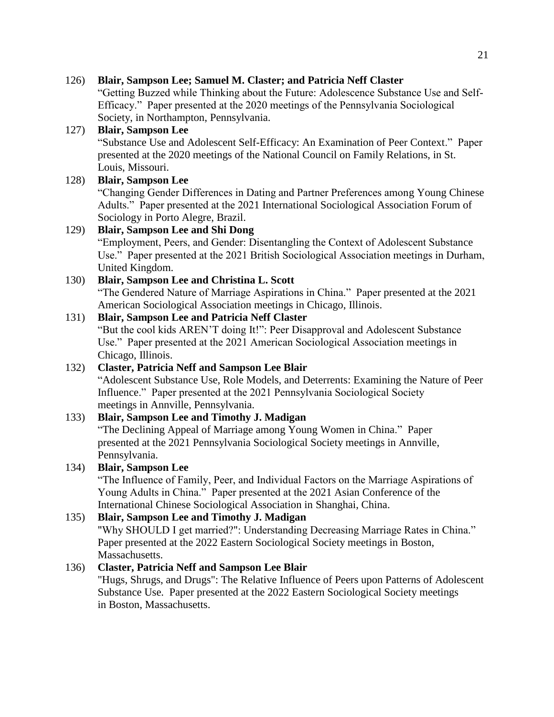#### 126) **Blair, Sampson Lee; Samuel M. Claster; and Patricia Neff Claster**

"Getting Buzzed while Thinking about the Future: Adolescence Substance Use and Self-Efficacy." Paper presented at the 2020 meetings of the Pennsylvania Sociological Society, in Northampton, Pennsylvania.

### 127) **Blair, Sampson Lee**

"Substance Use and Adolescent Self-Efficacy: An Examination of Peer Context." Paper presented at the 2020 meetings of the National Council on Family Relations, in St. Louis, Missouri.

### 128) **Blair, Sampson Lee**

"Changing Gender Differences in Dating and Partner Preferences among Young Chinese Adults." Paper presented at the 2021 International Sociological Association Forum of Sociology in Porto Alegre, Brazil.

### 129) **Blair, Sampson Lee and Shi Dong**

"Employment, Peers, and Gender: Disentangling the Context of Adolescent Substance Use." Paper presented at the 2021 British Sociological Association meetings in Durham, United Kingdom.

130) **Blair, Sampson Lee and Christina L. Scott** "The Gendered Nature of Marriage Aspirations in China." Paper presented at the 2021 American Sociological Association meetings in Chicago, Illinois.

### 131) **Blair, Sampson Lee and Patricia Neff Claster**

"But the cool kids AREN'T doing It!": Peer Disapproval and Adolescent Substance Use." Paper presented at the 2021 American Sociological Association meetings in Chicago, Illinois.

### 132) **Claster, Patricia Neff and Sampson Lee Blair**

"Adolescent Substance Use, Role Models, and Deterrents: Examining the Nature of Peer Influence." Paper presented at the 2021 Pennsylvania Sociological Society meetings in Annville, Pennsylvania.

### 133) **Blair, Sampson Lee and Timothy J. Madigan**

"The Declining Appeal of Marriage among Young Women in China." Paper presented at the 2021 Pennsylvania Sociological Society meetings in Annville, Pennsylvania.

### 134) **Blair, Sampson Lee**

"The Influence of Family, Peer, and Individual Factors on the Marriage Aspirations of Young Adults in China." Paper presented at the 2021 Asian Conference of the International Chinese Sociological Association in Shanghai, China.

### 135) **Blair, Sampson Lee and Timothy J. Madigan**

"Why SHOULD I get married?": Understanding Decreasing Marriage Rates in China." Paper presented at the 2022 Eastern Sociological Society meetings in Boston, Massachusetts.

### 136) **Claster, Patricia Neff and Sampson Lee Blair**

"Hugs, Shrugs, and Drugs": The Relative Influence of Peers upon Patterns of Adolescent Substance Use. Paper presented at the 2022 Eastern Sociological Society meetings in Boston, Massachusetts.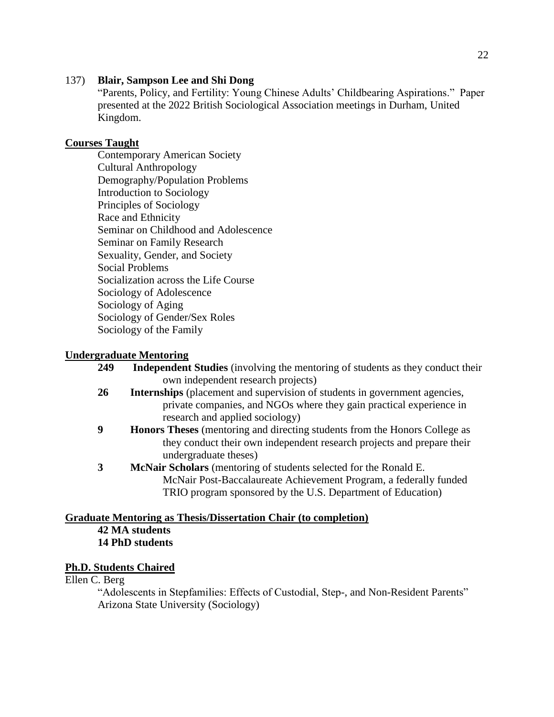#### 137) **Blair, Sampson Lee and Shi Dong**

"Parents, Policy, and Fertility: Young Chinese Adults' Childbearing Aspirations." Paper presented at the 2022 British Sociological Association meetings in Durham, United Kingdom.

#### **Courses Taught**

Contemporary American Society Cultural Anthropology Demography/Population Problems Introduction to Sociology Principles of Sociology Race and Ethnicity Seminar on Childhood and Adolescence Seminar on Family Research Sexuality, Gender, and Society Social Problems Socialization across the Life Course Sociology of Adolescence Sociology of Aging Sociology of Gender/Sex Roles Sociology of the Family

#### **Undergraduate Mentoring**

| 249 | <b>Independent Studies</b> (involving the mentoring of students as they conduct their |
|-----|---------------------------------------------------------------------------------------|
|     | own independent research projects)                                                    |
| 26  | <b>Internships</b> (placement and supervision of students in government agencies,     |
|     | private companies, and NGOs where they gain practical experience in                   |
|     | research and applied sociology)                                                       |
|     | <b>Honors Theses</b> (mentoring and directing students from the Honors College as     |
|     | they conduct their own independent research projects and prepare their                |
|     | undergraduate theses)                                                                 |
|     | McNair Scholars (mentoring of students selected for the Ronald E.                     |
|     | McNair Post-Baccalaureate Achievement Program, a federally funded                     |

TRIO program sponsored by the U.S. Department of Education)

#### **Graduate Mentoring as Thesis/Dissertation Chair (to completion) 42 MA students 14 PhD students**

#### **Ph.D. Students Chaired**

#### Ellen C. Berg

"Adolescents in Stepfamilies: Effects of Custodial, Step-, and Non-Resident Parents" Arizona State University (Sociology)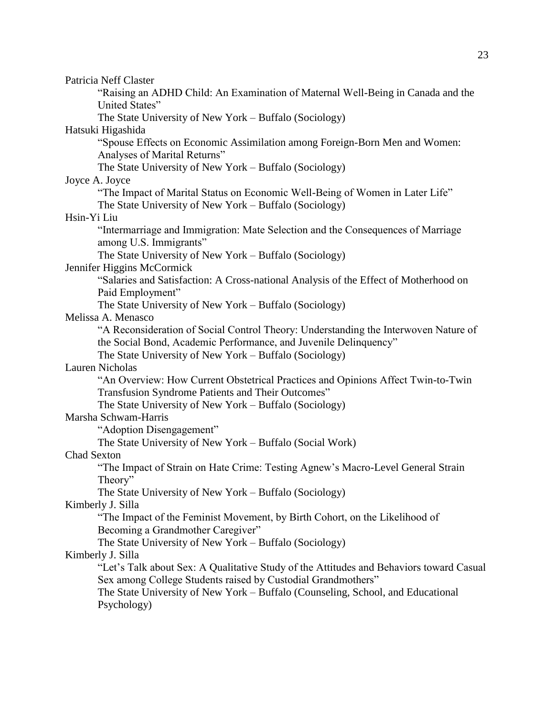| Patricia Neff Claster                                                                   |
|-----------------------------------------------------------------------------------------|
| "Raising an ADHD Child: An Examination of Maternal Well-Being in Canada and the         |
| United States"                                                                          |
| The State University of New York – Buffalo (Sociology)                                  |
| Hatsuki Higashida                                                                       |
| "Spouse Effects on Economic Assimilation among Foreign-Born Men and Women:              |
| Analyses of Marital Returns"                                                            |
| The State University of New York – Buffalo (Sociology)                                  |
| Joyce A. Joyce                                                                          |
| "The Impact of Marital Status on Economic Well-Being of Women in Later Life"            |
| The State University of New York – Buffalo (Sociology)                                  |
| Hsin-Yi Liu                                                                             |
| "Intermarriage and Immigration: Mate Selection and the Consequences of Marriage         |
| among U.S. Immigrants"                                                                  |
| The State University of New York – Buffalo (Sociology)                                  |
| Jennifer Higgins McCormick                                                              |
| "Salaries and Satisfaction: A Cross-national Analysis of the Effect of Motherhood on    |
| Paid Employment"                                                                        |
| The State University of New York – Buffalo (Sociology)                                  |
| Melissa A. Menasco                                                                      |
| "A Reconsideration of Social Control Theory: Understanding the Interwoven Nature of     |
| the Social Bond, Academic Performance, and Juvenile Delinquency"                        |
| The State University of New York – Buffalo (Sociology)                                  |
| Lauren Nicholas                                                                         |
| "An Overview: How Current Obstetrical Practices and Opinions Affect Twin-to-Twin        |
| Transfusion Syndrome Patients and Their Outcomes"                                       |
| The State University of New York - Buffalo (Sociology)                                  |
| Marsha Schwam-Harris                                                                    |
| "Adoption Disengagement"                                                                |
| The State University of New York – Buffalo (Social Work)                                |
| <b>Chad Sexton</b>                                                                      |
| "The Impact of Strain on Hate Crime: Testing Agnew's Macro-Level General Strain         |
| Theory"                                                                                 |
| The State University of New York – Buffalo (Sociology)                                  |
| Kimberly J. Silla                                                                       |
| "The Impact of the Feminist Movement, by Birth Cohort, on the Likelihood of             |
| Becoming a Grandmother Caregiver"                                                       |
| The State University of New York – Buffalo (Sociology)                                  |
| Kimberly J. Silla                                                                       |
| "Let's Talk about Sex: A Qualitative Study of the Attitudes and Behaviors toward Casual |
| Sex among College Students raised by Custodial Grandmothers"                            |
| The State University of New York – Buffalo (Counseling, School, and Educational         |
| Psychology)                                                                             |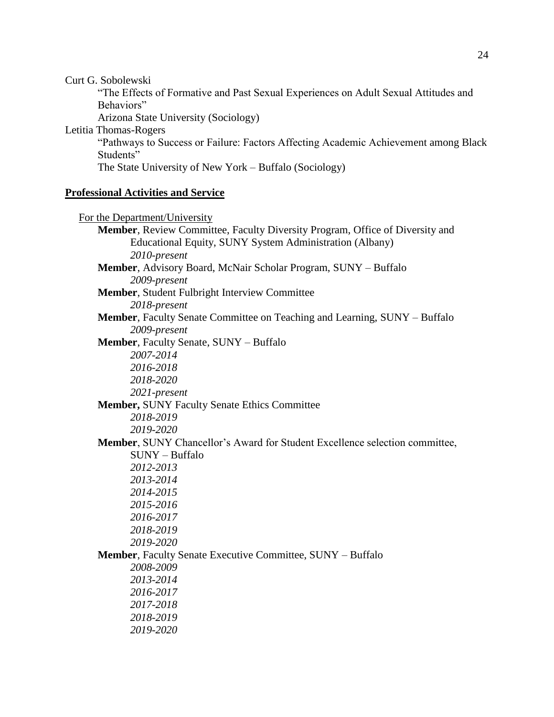Curt G. Sobolewski

"The Effects of Formative and Past Sexual Experiences on Adult Sexual Attitudes and Behaviors"

Arizona State University (Sociology)

Letitia Thomas-Rogers

"Pathways to Success or Failure: Factors Affecting Academic Achievement among Black Students"

The State University of New York – Buffalo (Sociology)

#### **Professional Activities and Service**

 For the Department/University **Member**, Review Committee, Faculty Diversity Program, Office of Diversity and Educational Equity, SUNY System Administration (Albany) *2010-present* **Member**, Advisory Board, McNair Scholar Program, SUNY – Buffalo *2009-present* **Member**, Student Fulbright Interview Committee *2018-present* **Member**, Faculty Senate Committee on Teaching and Learning, SUNY – Buffalo *2009-present* **Member**, Faculty Senate, SUNY – Buffalo *2007-2014 2016-2018 2018-2020 2021-present* **Member,** SUNY Faculty Senate Ethics Committee *2018-2019 2019-2020* **Member**, SUNY Chancellor's Award for Student Excellence selection committee, SUNY – Buffalo *2012-2013 2013-2014 2014-2015 2015-2016 2016-2017 2018-2019 2019-2020* **Member**, Faculty Senate Executive Committee, SUNY – Buffalo *2008-2009 2013-2014 2016-2017 2017-2018 2018-2019 2019-2020*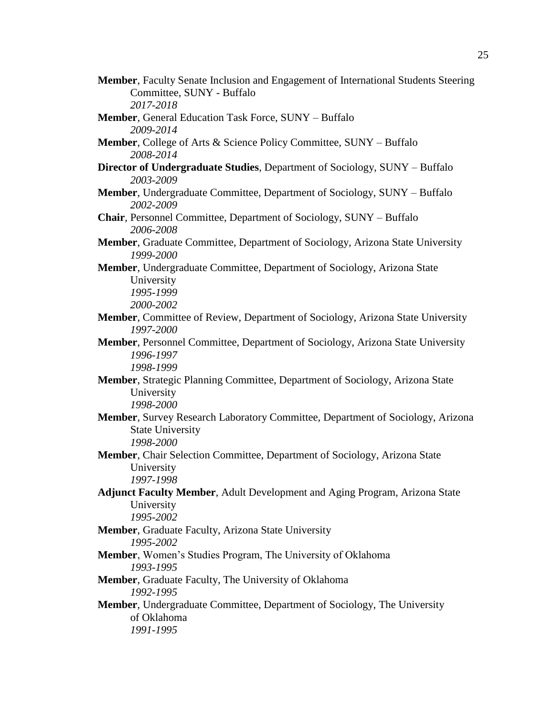- **Member**, Faculty Senate Inclusion and Engagement of International Students Steering Committee, SUNY - Buffalo *2017-2018*
- **Member**, General Education Task Force, SUNY Buffalo *2009-2014*
- **Member**, College of Arts & Science Policy Committee, SUNY Buffalo *2008-2014*
- **Director of Undergraduate Studies**, Department of Sociology, SUNY Buffalo *2003-2009*
- **Member**, Undergraduate Committee, Department of Sociology, SUNY Buffalo *2002-2009*
- **Chair**, Personnel Committee, Department of Sociology, SUNY Buffalo *2006-2008*
- **Member**, Graduate Committee, Department of Sociology, Arizona State University *1999-2000*
- **Member**, Undergraduate Committee, Department of Sociology, Arizona State University *1995-1999*

*2000-2002*

- **Member**, Committee of Review, Department of Sociology, Arizona State University *1997-2000*
- **Member**, Personnel Committee, Department of Sociology, Arizona State University *1996-1997 1998-1999*
- **Member**, Strategic Planning Committee, Department of Sociology, Arizona State University *1998-2000*
- **Member**, Survey Research Laboratory Committee, Department of Sociology, Arizona State University *1998-2000*
- **Member**, Chair Selection Committee, Department of Sociology, Arizona State University *1997-1998*
- **Adjunct Faculty Member**, Adult Development and Aging Program, Arizona State University *1995-2002*
- **Member**, Graduate Faculty, Arizona State University *1995-2002*
- **Member**, Women's Studies Program, The University of Oklahoma *1993-1995*
- **Member**, Graduate Faculty, The University of Oklahoma *1992-1995*
- **Member**, Undergraduate Committee, Department of Sociology, The University of Oklahoma *1991-1995*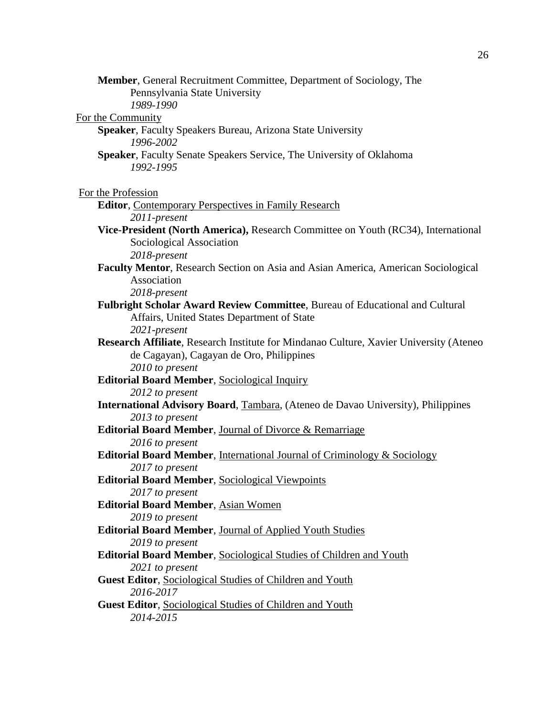**Member**, General Recruitment Committee, Department of Sociology, The Pennsylvania State University *1989-1990* For the Community **Speaker**, Faculty Speakers Bureau, Arizona State University *1996-2002* **Speaker**, Faculty Senate Speakers Service, The University of Oklahoma *1992-1995* For the Profession **Editor**, Contemporary Perspectives in Family Research *2011-present* **Vice-President (North America),** Research Committee on Youth (RC34), International Sociological Association *2018-present* **Faculty Mentor**, Research Section on Asia and Asian America, American Sociological Association *2018-present* **Fulbright Scholar Award Review Committee**, Bureau of Educational and Cultural Affairs, United States Department of State *2021-present* **Research Affiliate**, Research Institute for Mindanao Culture, Xavier University (Ateneo de Cagayan), Cagayan de Oro, Philippines *2010 to present* **Editorial Board Member**, Sociological Inquiry *2012 to present* **International Advisory Board**, Tambara, (Ateneo de Davao University), Philippines *2013 to present* **Editorial Board Member**, Journal of Divorce & Remarriage *2016 to present* **Editorial Board Member**, International Journal of Criminology & Sociology *2017 to present* **Editorial Board Member**, Sociological Viewpoints *2017 to present* **Editorial Board Member**, Asian Women *2019 to present* **Editorial Board Member**, Journal of Applied Youth Studies *2019 to present* **Editorial Board Member**, Sociological Studies of Children and Youth *2021 to present* **Guest Editor**, Sociological Studies of Children and Youth *2016-2017* **Guest Editor**, Sociological Studies of Children and Youth *2014-2015*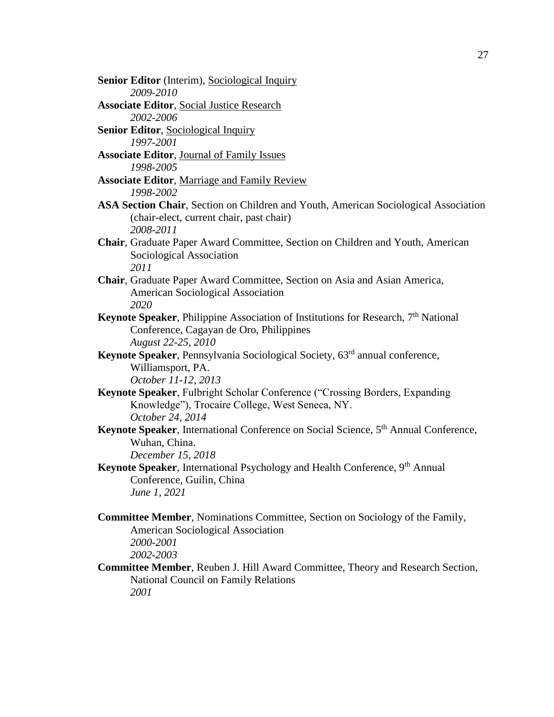**Senior Editor** (Interim), Sociological Inquiry *2009-2010* **Associate Editor**, Social Justice Research *2002-2006* **Senior Editor**, Sociological Inquiry *1997-2001* **Associate Editor**, Journal of Family Issues *1998-2005* **Associate Editor**, Marriage and Family Review *1998-2002* **ASA Section Chair**, Section on Children and Youth, American Sociological Association (chair-elect, current chair, past chair) *2008-2011* **Chair**, Graduate Paper Award Committee, Section on Children and Youth, American Sociological Association *2011* **Chair**, Graduate Paper Award Committee, Section on Asia and Asian America, American Sociological Association *2020* **Keynote Speaker**, Philippine Association of Institutions for Research, 7<sup>th</sup> National Conference, Cagayan de Oro, Philippines *August 22-25, 2010* **Keynote Speaker**, Pennsylvania Sociological Society, 63<sup>rd</sup> annual conference, Williamsport, PA. *October 11-12, 2013* **Keynote Speaker**, Fulbright Scholar Conference ("Crossing Borders, Expanding Knowledge"), Trocaire College, West Seneca, NY. *October 24, 2014* **Keynote Speaker**, International Conference on Social Science, 5<sup>th</sup> Annual Conference, Wuhan, China. *December 15, 2018* **Keynote Speaker**, International Psychology and Health Conference, 9<sup>th</sup> Annual Conference, Guilin, China *June 1, 2021* **Committee Member**, Nominations Committee, Section on Sociology of the Family, American Sociological Association *2000-2001 2002-2003* **Committee Member**, Reuben J. Hill Award Committee, Theory and Research Section,

National Council on Family Relations *2001*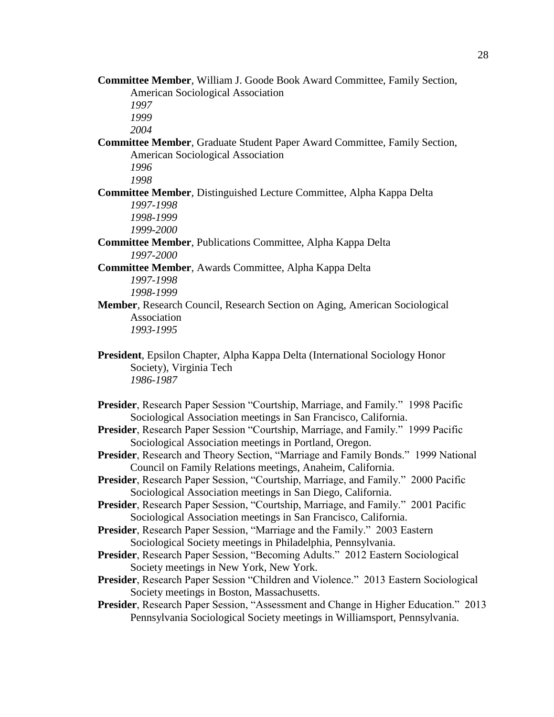**Committee Member**, William J. Goode Book Award Committee, Family Section, American Sociological Association

*1997*

*1999*

*2004*

**Committee Member**, Graduate Student Paper Award Committee, Family Section, American Sociological Association

*1996*

*1998*

**Committee Member**, Distinguished Lecture Committee, Alpha Kappa Delta *1997-1998*

*1998-1999 1999-2000*

- **Committee Member**, Publications Committee, Alpha Kappa Delta *1997-2000*
- **Committee Member**, Awards Committee, Alpha Kappa Delta *1997-1998 1998-1999*
- **Member**, Research Council, Research Section on Aging, American Sociological Association *1993-1995*
- **President**, Epsilon Chapter, Alpha Kappa Delta (International Sociology Honor Society), Virginia Tech *1986-1987*
- **Presider**, Research Paper Session "Courtship, Marriage, and Family." 1998 Pacific Sociological Association meetings in San Francisco, California.
- **Presider**, Research Paper Session "Courtship, Marriage, and Family." 1999 Pacific Sociological Association meetings in Portland, Oregon.
- **Presider**, Research and Theory Section, "Marriage and Family Bonds." 1999 National Council on Family Relations meetings, Anaheim, California.
- **Presider**, Research Paper Session, "Courtship, Marriage, and Family." 2000 Pacific Sociological Association meetings in San Diego, California.
- **Presider**, Research Paper Session, "Courtship, Marriage, and Family." 2001 Pacific Sociological Association meetings in San Francisco, California.
- **Presider**, Research Paper Session, "Marriage and the Family." 2003 Eastern Sociological Society meetings in Philadelphia, Pennsylvania.
- **Presider**, Research Paper Session, "Becoming Adults." 2012 Eastern Sociological Society meetings in New York, New York.
- **Presider**, Research Paper Session "Children and Violence." 2013 Eastern Sociological Society meetings in Boston, Massachusetts.
- **Presider**, Research Paper Session, "Assessment and Change in Higher Education." 2013 Pennsylvania Sociological Society meetings in Williamsport, Pennsylvania.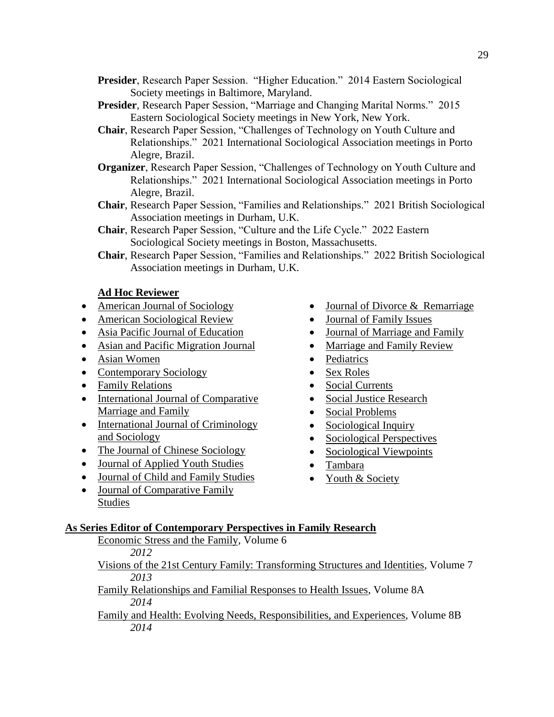- **Presider**, Research Paper Session. "Higher Education." 2014 Eastern Sociological Society meetings in Baltimore, Maryland.
- **Presider**, Research Paper Session, "Marriage and Changing Marital Norms." 2015 Eastern Sociological Society meetings in New York, New York.
- **Chair**, Research Paper Session, "Challenges of Technology on Youth Culture and Relationships." 2021 International Sociological Association meetings in Porto Alegre, Brazil.
- **Organizer**, Research Paper Session, "Challenges of Technology on Youth Culture and Relationships." 2021 International Sociological Association meetings in Porto Alegre, Brazil.
- **Chair**, Research Paper Session, "Families and Relationships." 2021 British Sociological Association meetings in Durham, U.K.
- **Chair**, Research Paper Session, "Culture and the Life Cycle." 2022 Eastern Sociological Society meetings in Boston, Massachusetts.
- **Chair**, Research Paper Session, "Families and Relationships." 2022 British Sociological Association meetings in Durham, U.K.

#### **Ad Hoc Reviewer**

- American Journal of Sociology
- American Sociological Review
- Asia Pacific Journal of Education
- Asian and Pacific Migration Journal
- Asian Women
- Contemporary Sociology
- Family Relations
- International Journal of Comparative Marriage and Family
- International Journal of Criminology and Sociology
- The Journal of Chinese Sociology
- Journal of Applied Youth Studies
- Journal of Child and Family Studies
- Journal of Comparative Family Studies
- Journal of Divorce & Remarriage
- Journal of Family Issues
- Journal of Marriage and Family
- Marriage and Family Review
- Pediatrics
- Sex Roles
- Social Currents
- Social Justice Research
- Social Problems
- Sociological Inquiry
- Sociological Perspectives
- Sociological Viewpoints
- Tambara
- Youth & Society

#### **As Series Editor of Contemporary Perspectives in Family Research**

- Economic Stress and the Family, Volume 6 *2012*
- Visions of the 21st Century Family: Transforming Structures and Identities, Volume 7 *2013*
- Family Relationships and Familial Responses to Health Issues, Volume 8A *2014*
- Family and Health: Evolving Needs, Responsibilities, and Experiences, Volume 8B *2014*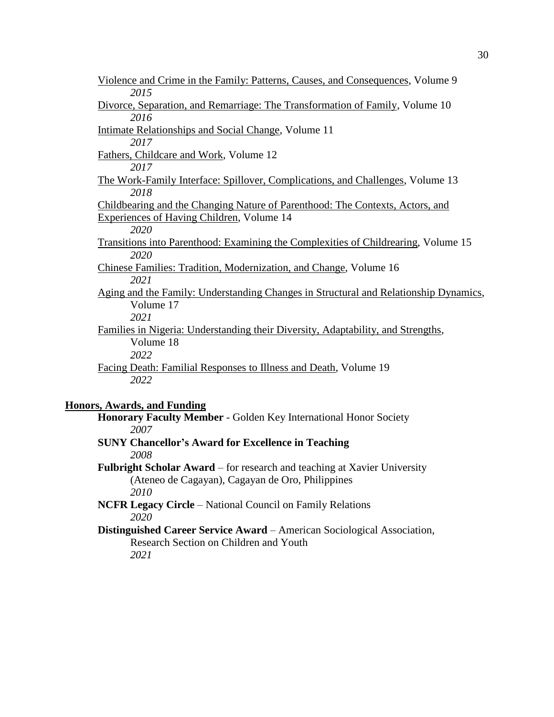| Violence and Crime in the Family: Patterns, Causes, and Consequences, Volume 9            |
|-------------------------------------------------------------------------------------------|
| 2015                                                                                      |
| Divorce, Separation, and Remarriage: The Transformation of Family, Volume 10              |
| 2016                                                                                      |
| <b>Intimate Relationships and Social Change, Volume 11</b>                                |
| 2017                                                                                      |
| Fathers, Childcare and Work, Volume 12                                                    |
| 2017                                                                                      |
| The Work-Family Interface: Spillover, Complications, and Challenges, Volume 13            |
| 2018                                                                                      |
| Childbearing and the Changing Nature of Parenthood: The Contexts, Actors, and             |
| Experiences of Having Children, Volume 14                                                 |
| 2020                                                                                      |
| <u>Transitions into Parenthood: Examining the Complexities of Childrearing, Volume 15</u> |
| 2020                                                                                      |
| Chinese Families: Tradition, Modernization, and Change, Volume 16                         |
| 2021                                                                                      |
| Aging and the Family: Understanding Changes in Structural and Relationship Dynamics,      |
| Volume 17                                                                                 |
| 2021                                                                                      |
| Families in Nigeria: Understanding their Diversity, Adaptability, and Strengths,          |
| Volume 18                                                                                 |
| 2022                                                                                      |
| Facing Death: Familial Responses to Illness and Death, Volume 19                          |
| 2022                                                                                      |
|                                                                                           |

### **Honors, Awards, and Funding**

**Honorary Faculty Member** - Golden Key International Honor Society *2007*

- **SUNY Chancellor's Award for Excellence in Teaching** *2008*
- **Fulbright Scholar Award** for research and teaching at Xavier University (Ateneo de Cagayan), Cagayan de Oro, Philippines *2010*

**NCFR Legacy Circle** – National Council on Family Relations *2020*

**Distinguished Career Service Award** – American Sociological Association, Research Section on Children and Youth *2021*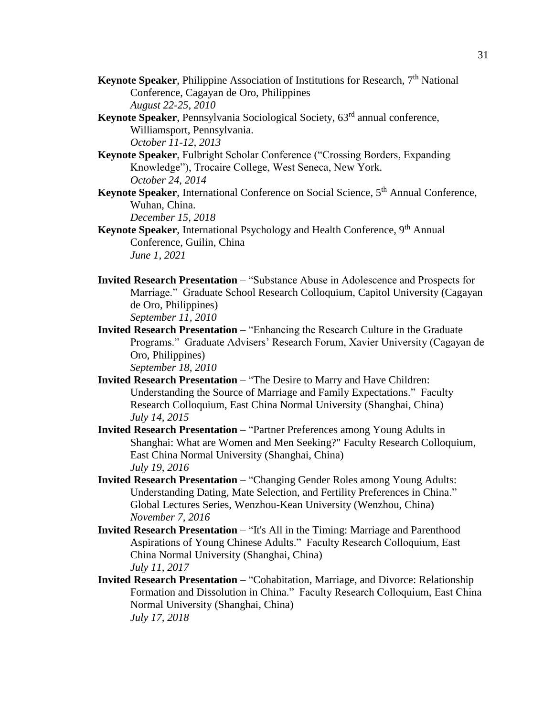- **Keynote Speaker**, Philippine Association of Institutions for Research, 7<sup>th</sup> National Conference, Cagayan de Oro, Philippines *August 22-25, 2010*
- **Keynote Speaker**, Pennsylvania Sociological Society, 63<sup>rd</sup> annual conference, Williamsport, Pennsylvania. *October 11-12, 2013*
- **Keynote Speaker**, Fulbright Scholar Conference ("Crossing Borders, Expanding Knowledge"), Trocaire College, West Seneca, New York. *October 24, 2014*
- **Keynote Speaker**, International Conference on Social Science, 5<sup>th</sup> Annual Conference, Wuhan, China. *December 15, 2018*
- **Keynote Speaker**, International Psychology and Health Conference, 9<sup>th</sup> Annual Conference, Guilin, China *June 1, 2021*
- **Invited Research Presentation** "Substance Abuse in Adolescence and Prospects for Marriage." Graduate School Research Colloquium, Capitol University (Cagayan de Oro, Philippines) *September 11, 2010*
- **Invited Research Presentation** "Enhancing the Research Culture in the Graduate Programs." Graduate Advisers' Research Forum, Xavier University (Cagayan de Oro, Philippines) *September 18, 2010*
- **Invited Research Presentation** "The Desire to Marry and Have Children: Understanding the Source of Marriage and Family Expectations." Faculty Research Colloquium, East China Normal University (Shanghai, China) *July 14, 2015*
- **Invited Research Presentation** "Partner Preferences among Young Adults in Shanghai: What are Women and Men Seeking?" Faculty Research Colloquium, East China Normal University (Shanghai, China) *July 19, 2016*
- **Invited Research Presentation** "Changing Gender Roles among Young Adults: Understanding Dating, Mate Selection, and Fertility Preferences in China." Global Lectures Series, Wenzhou-Kean University (Wenzhou, China) *November 7, 2016*
- **Invited Research Presentation** "It's All in the Timing: Marriage and Parenthood Aspirations of Young Chinese Adults." Faculty Research Colloquium, East China Normal University (Shanghai, China) *July 11, 2017*
- **Invited Research Presentation** "Cohabitation, Marriage, and Divorce: Relationship Formation and Dissolution in China." Faculty Research Colloquium, East China Normal University (Shanghai, China) *July 17, 2018*